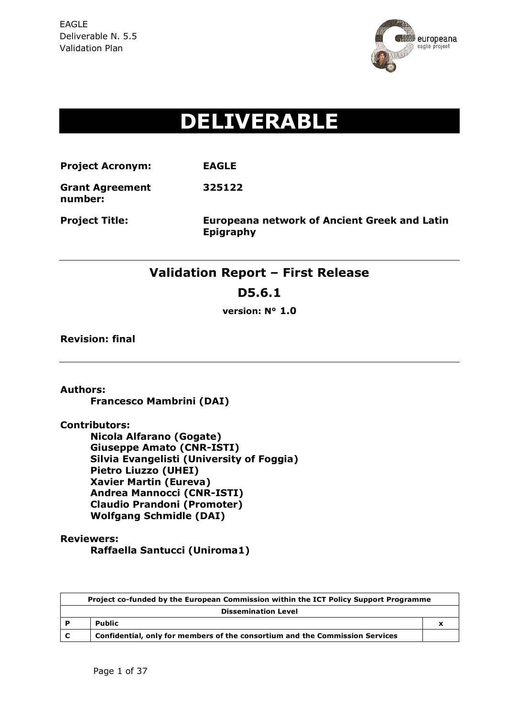

# **DELIVERABLE**

**Project Acronym: EAGLE**

**Grant Agreement 325122**

**number:**

**Project Title: Europeana network of Ancient Greek and Latin Epigraphy**

## **Validation Report – First Release**

**D5.6.1**

**version: N° 1.0**

**Revision: final**

**Authors:** 

**Francesco Mambrini (DAI)**

**Contributors:** 

**Nicola Alfarano (Gogate) Giuseppe Amato (CNR-ISTI) Silvia Evangelisti (University of Foggia) Pietro Liuzzo (UHEI) Xavier Martin (Eureva) Andrea Mannocci (CNR-ISTI) Claudio Prandoni (Promoter) Wolfgang Schmidle (DAI)**

**Reviewers:** 

**Raffaella Santucci (Uniroma1)**

|                            | Project co-funded by the European Commission within the ICT Policy Support Programme |  |  |  |  |  |
|----------------------------|--------------------------------------------------------------------------------------|--|--|--|--|--|
| <b>Dissemination Level</b> |                                                                                      |  |  |  |  |  |
| P                          | <b>Public</b>                                                                        |  |  |  |  |  |
| C                          | Confidential, only for members of the consortium and the Commission Services         |  |  |  |  |  |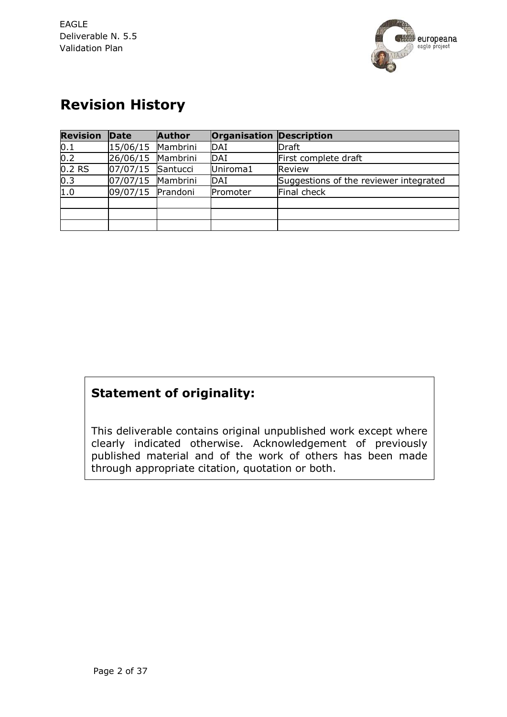

## **Revision History**

| <b>Revision</b> | Date     | <b>Author</b> | <b>Organisation Description</b> |                                        |
|-----------------|----------|---------------|---------------------------------|----------------------------------------|
| 0.1             | 15/06/15 | Mambrini      | DAI                             | <b>Draft</b>                           |
| 0.2             | 26/06/15 | Mambrini      | <b>DAI</b>                      | First complete draft                   |
| $0.2$ RS        | 07/07/15 | Santucci      | Uniroma1                        | Review                                 |
| 0.3             | 07/07/15 | Mambrini      | DAI                             | Suggestions of the reviewer integrated |
| 1.0             | 09/07/15 | Prandoni      | Promoter                        | Final check                            |
|                 |          |               |                                 |                                        |
|                 |          |               |                                 |                                        |
|                 |          |               |                                 |                                        |

## **Statement of originality:**

This deliverable contains original unpublished work except where clearly indicated otherwise. Acknowledgement of previously published material and of the work of others has been made through appropriate citation, quotation or both.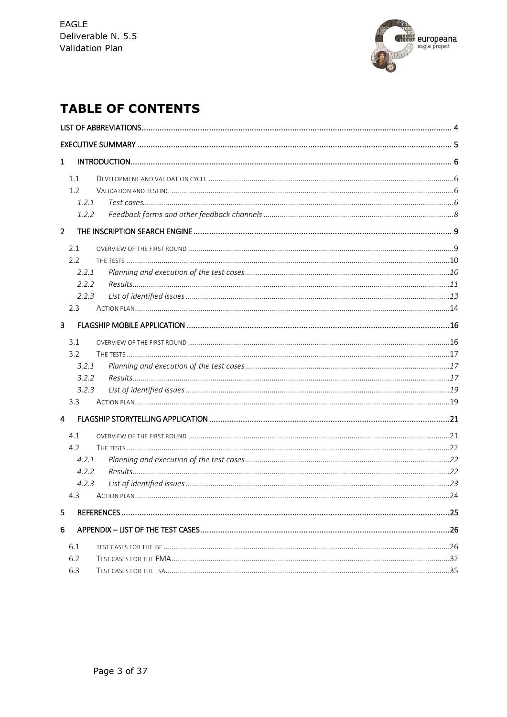

## **TABLE OF CONTENTS**

| $\mathbf{1}$ |  |
|--------------|--|
| 1.1          |  |
| 1.2          |  |
| 1.2.1        |  |
| 1.2.2        |  |
|              |  |
| $2^{\circ}$  |  |
| 2.1          |  |
| 2.2          |  |
| 2.2.1        |  |
| 2.2.2        |  |
| 2.2.3        |  |
| 2.3          |  |
| 3            |  |
| 3.1          |  |
| 3.2          |  |
| 3.2.1        |  |
| 3.2.2        |  |
| 3.2.3        |  |
| 3.3          |  |
| 4            |  |
| 4.1          |  |
| 4.2          |  |
| 4.2.1        |  |
| 4.2.2        |  |
| 4.2.3        |  |
| 4.3          |  |
| 5            |  |
| 6            |  |
|              |  |
| 6.1          |  |
| 6.2          |  |
| 6.3          |  |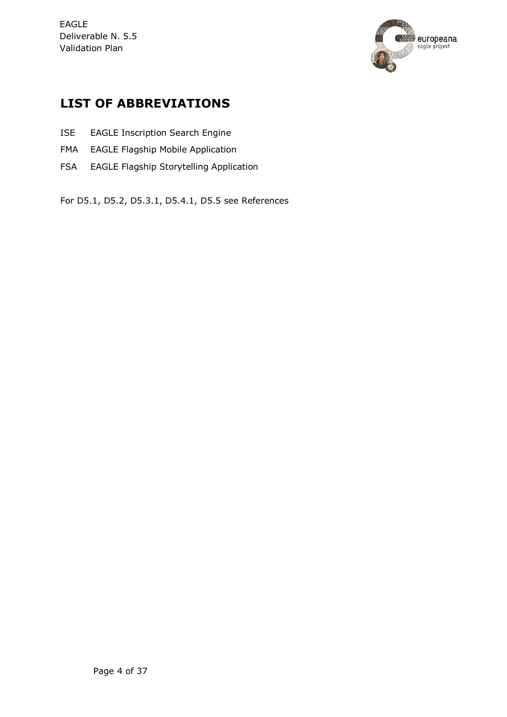

## **LIST OF ABBREVIATIONS**

- ISE EAGLE Inscription Search Engine
- FMA EAGLE Flagship Mobile Application
- FSA EAGLE Flagship Storytelling Application

For D5.1, D5.2, D5.3.1, D5.4.1, D5.5 see References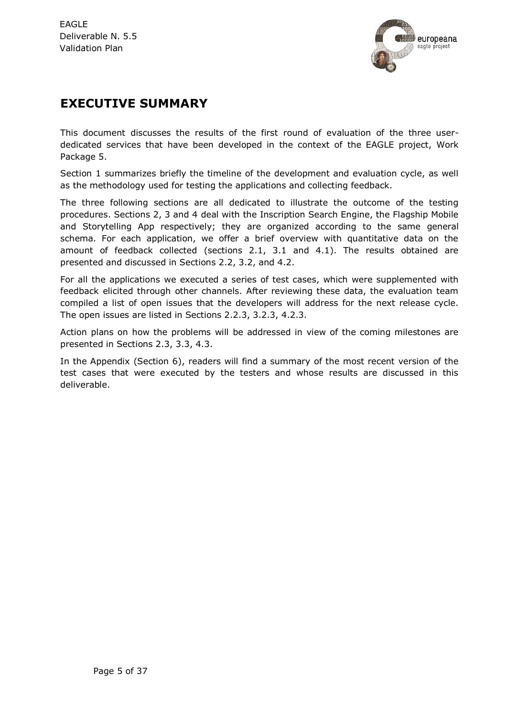

## **EXECUTIVE SUMMARY**

This document discusses the results of the first round of evaluation of the three userdedicated services that have been developed in the context of the EAGLE project, Work Package 5.

Section 1 summarizes briefly the timeline of the development and evaluation cycle, as well as the methodology used for testing the applications and collecting feedback.

The three following sections are all dedicated to illustrate the outcome of the testing procedures. Sections 2, 3 and 4 deal with the Inscription Search Engine, the Flagship Mobile and Storytelling App respectively; they are organized according to the same general schema. For each application, we offer a brief overview with quantitative data on the amount of feedback collected (sections 2.1, 3.1 and 4.1). The results obtained are presented and discussed in Sections 2.2, 3.2, and 4.2.

For all the applications we executed a series of test cases, which were supplemented with feedback elicited through other channels. After reviewing these data, the evaluation team compiled a list of open issues that the developers will address for the next release cycle. The open issues are listed in Sections 2.2.3, 3.2.3, 4.2.3.

Action plans on how the problems will be addressed in view of the coming milestones are presented in Sections 2.3, 3.3, 4.3.

In the Appendix (Section 6), readers will find a summary of the most recent version of the test cases that were executed by the testers and whose results are discussed in this deliverable.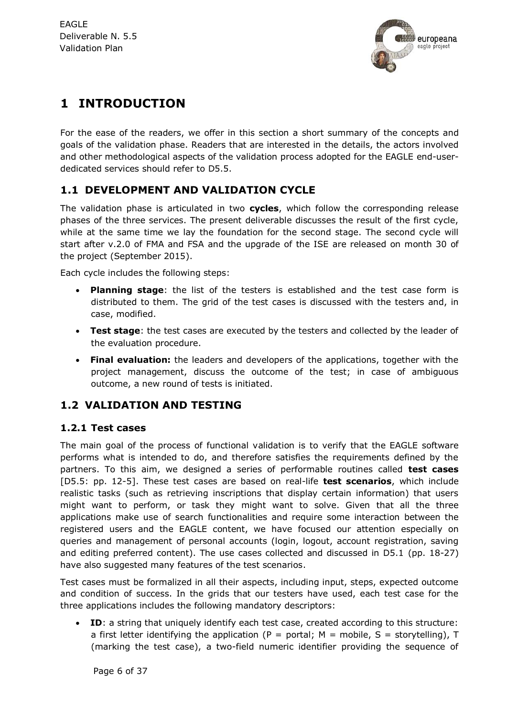

## **1 INTRODUCTION**

For the ease of the readers, we offer in this section a short summary of the concepts and goals of the validation phase. Readers that are interested in the details, the actors involved and other methodological aspects of the validation process adopted for the EAGLE end-userdedicated services should refer to D5.5.

#### **1.1 DEVELOPMENT AND VALIDATION CYCLE**

The validation phase is articulated in two **cycles**, which follow the corresponding release phases of the three services. The present deliverable discusses the result of the first cycle, while at the same time we lay the foundation for the second stage. The second cycle will start after v.2.0 of FMA and FSA and the upgrade of the ISE are released on month 30 of the project (September 2015).

Each cycle includes the following steps:

- **Planning stage**: the list of the testers is established and the test case form is distributed to them. The grid of the test cases is discussed with the testers and, in case, modified.
- **Test stage**: the test cases are executed by the testers and collected by the leader of the evaluation procedure.
- **Final evaluation:** the leaders and developers of the applications, together with the project management, discuss the outcome of the test; in case of ambiguous outcome, a new round of tests is initiated.

#### **1.2 VALIDATION AND TESTING**

#### **1.2.1 Test cases**

The main goal of the process of functional validation is to verify that the EAGLE software performs what is intended to do, and therefore satisfies the requirements defined by the partners. To this aim, we designed a series of performable routines called **test cases** [D5.5: pp. 12-5]. These test cases are based on real-life **test scenarios**, which include realistic tasks (such as retrieving inscriptions that display certain information) that users might want to perform, or task they might want to solve. Given that all the three applications make use of search functionalities and require some interaction between the registered users and the EAGLE content, we have focused our attention especially on queries and management of personal accounts (login, logout, account registration, saving and editing preferred content). The use cases collected and discussed in D5.1 (pp. 18-27) have also suggested many features of the test scenarios.

Test cases must be formalized in all their aspects, including input, steps, expected outcome and condition of success. In the grids that our testers have used, each test case for the three applications includes the following mandatory descriptors:

 **ID**: a string that uniquely identify each test case, created according to this structure: a first letter identifying the application (P = portal; M = mobile, S = storytelling), T (marking the test case), a two-field numeric identifier providing the sequence of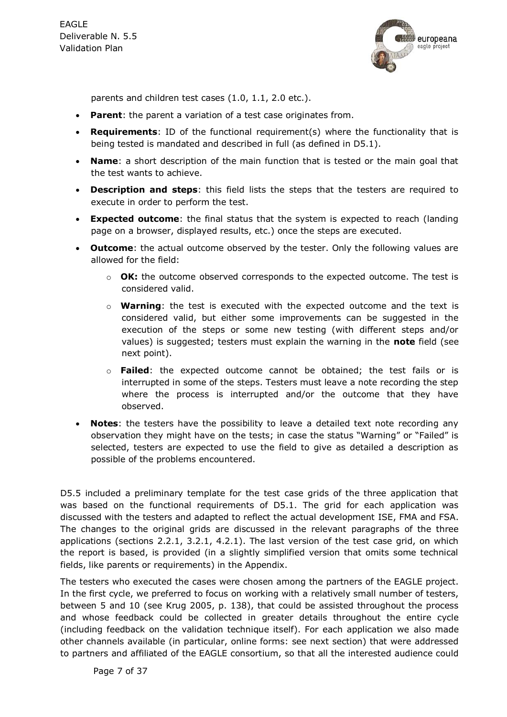

parents and children test cases (1.0, 1.1, 2.0 etc.).

- **Parent**: the parent a variation of a test case originates from.
- **Requirements**: ID of the functional requirement(s) where the functionality that is being tested is mandated and described in full (as defined in D5.1).
- **Name**: a short description of the main function that is tested or the main goal that the test wants to achieve.
- **Description and steps**: this field lists the steps that the testers are required to execute in order to perform the test.
- **Expected outcome**: the final status that the system is expected to reach (landing page on a browser, displayed results, etc.) once the steps are executed.
- **Outcome**: the actual outcome observed by the tester. Only the following values are allowed for the field:
	- o **OK:** the outcome observed corresponds to the expected outcome. The test is considered valid.
	- o **Warning**: the test is executed with the expected outcome and the text is considered valid, but either some improvements can be suggested in the execution of the steps or some new testing (with different steps and/or values) is suggested; testers must explain the warning in the **note** field (see next point).
	- o **Failed**: the expected outcome cannot be obtained; the test fails or is interrupted in some of the steps. Testers must leave a note recording the step where the process is interrupted and/or the outcome that they have observed.
- **Notes**: the testers have the possibility to leave a detailed text note recording any observation they might have on the tests; in case the status "Warning" or "Failed" is selected, testers are expected to use the field to give as detailed a description as possible of the problems encountered.

D5.5 included a preliminary template for the test case grids of the three application that was based on the functional requirements of D5.1. The grid for each application was discussed with the testers and adapted to reflect the actual development ISE, FMA and FSA. The changes to the original grids are discussed in the relevant paragraphs of the three applications (sections [2.2.1,](#page-9-0) [3.2.1,](#page-16-0) [4.2.1\)](#page-21-0). The last version of the test case grid, on which the report is based, is provided (in a slightly simplified version that omits some technical fields, like parents or requirements) in the Appendix.

The testers who executed the cases were chosen among the partners of the EAGLE project. In the first cycle, we preferred to focus on working with a relatively small number of testers, between 5 and 10 (see Krug 2005, p. 138), that could be assisted throughout the process and whose feedback could be collected in greater details throughout the entire cycle (including feedback on the validation technique itself). For each application we also made other channels available (in particular, online forms: see next section) that were addressed to partners and affiliated of the EAGLE consortium, so that all the interested audience could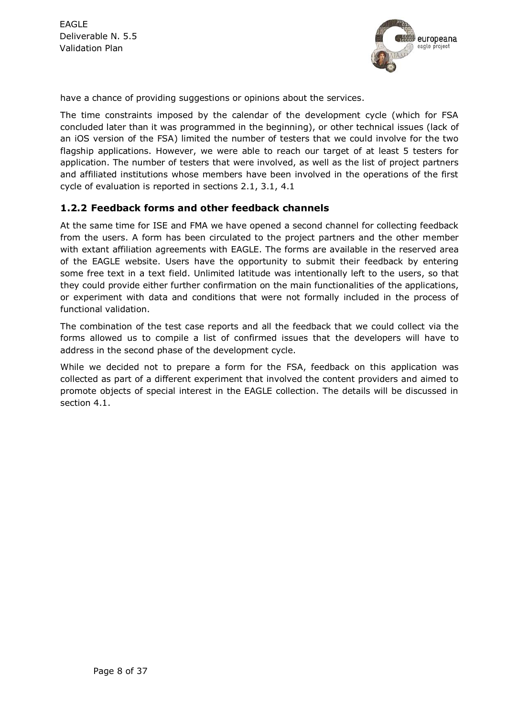

have a chance of providing suggestions or opinions about the services.

The time constraints imposed by the calendar of the development cycle (which for FSA concluded later than it was programmed in the beginning), or other technical issues (lack of an iOS version of the FSA) limited the number of testers that we could involve for the two flagship applications. However, we were able to reach our target of at least 5 testers for application. The number of testers that were involved, as well as the list of project partners and affiliated institutions whose members have been involved in the operations of the first cycle of evaluation is reported in sections [2.1,](#page-8-0) [3.1,](#page-15-0) [4.1](#page-20-0)

#### **1.2.2 Feedback forms and other feedback channels**

At the same time for ISE and FMA we have opened a second channel for collecting feedback from the users. A form has been circulated to the project partners and the other member with extant affiliation agreements with EAGLE. The forms are available in the reserved area of the EAGLE website. Users have the opportunity to submit their feedback by entering some free text in a text field. Unlimited latitude was intentionally left to the users, so that they could provide either further confirmation on the main functionalities of the applications, or experiment with data and conditions that were not formally included in the process of functional validation.

The combination of the test case reports and all the feedback that we could collect via the forms allowed us to compile a list of confirmed issues that the developers will have to address in the second phase of the development cycle.

While we decided not to prepare a form for the FSA, feedback on this application was collected as part of a different experiment that involved the content providers and aimed to promote objects of special interest in the EAGLE collection. The details will be discussed in section [4.1.](#page-20-0)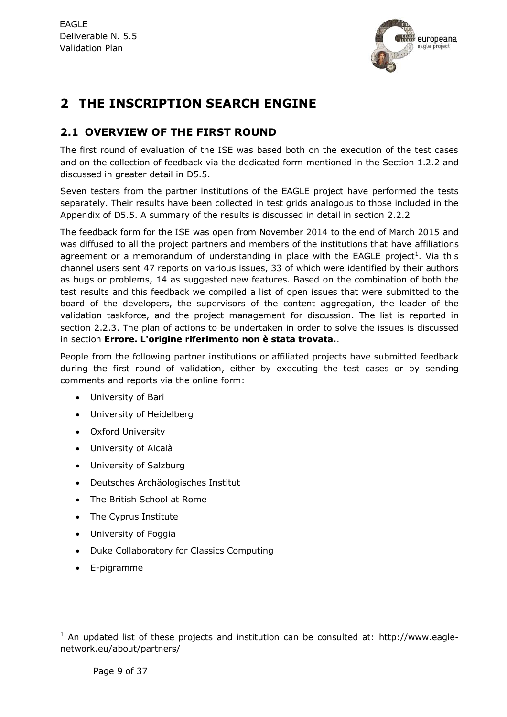

## **2 THE INSCRIPTION SEARCH ENGINE**

#### <span id="page-8-0"></span>**2.1 OVERVIEW OF THE FIRST ROUND**

The first round of evaluation of the ISE was based both on the execution of the test cases and on the collection of feedback via the dedicated form mentioned in the Section 1.2.2 and discussed in greater detail in D5.5.

Seven testers from the partner institutions of the EAGLE project have performed the tests separately. Their results have been collected in test grids analogous to those included in the Appendix of D5.5. A summary of the results is discussed in detail in section [2.2.2](#page-10-0)

The feedback form for the ISE was open from November 2014 to the end of March 2015 and was diffused to all the project partners and members of the institutions that have affiliations agreement or a memorandum of understanding in place with the EAGLE project<sup>1</sup>. Via this channel users sent 47 reports on various issues, 33 of which were identified by their authors as bugs or problems, 14 as suggested new features. Based on the combination of both the test results and this feedback we compiled a list of open issues that were submitted to the board of the developers, the supervisors of the content aggregation, the leader of the validation taskforce, and the project management for discussion. The list is reported in section [2.2.3.](#page-12-0) The plan of actions to be undertaken in order to solve the issues is discussed in section **Errore. L'origine riferimento non è stata trovata.**.

People from the following partner institutions or affiliated projects have submitted feedback during the first round of validation, either by executing the test cases or by sending comments and reports via the online form:

- University of Bari
- University of Heidelberg
- Oxford University
- University of Alcalà
- University of Salzburg
- Deutsches Archäologisches Institut
- The British School at Rome
- The Cyprus Institute
- University of Foggia
- Duke Collaboratory for Classics Computing
- E-pigramme

-

 $1$  An updated list of these projects and institution can be consulted at: http://www.eaglenetwork.eu/about/partners/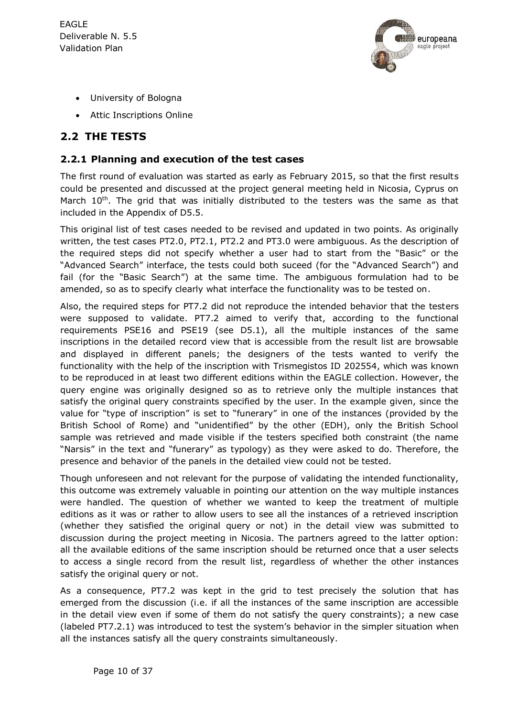

- University of Bologna
- Attic Inscriptions Online

#### **2.2 THE TESTS**

#### <span id="page-9-0"></span>**2.2.1 Planning and execution of the test cases**

The first round of evaluation was started as early as February 2015, so that the first results could be presented and discussed at the project general meeting held in Nicosia, Cyprus on March  $10<sup>th</sup>$ . The grid that was initially distributed to the testers was the same as that included in the Appendix of D5.5.

This original list of test cases needed to be revised and updated in two points. As originally written, the test cases PT2.0, PT2.1, PT2.2 and PT3.0 were ambiguous. As the description of the required steps did not specify whether a user had to start from the "Basic" or the "Advanced Search" interface, the tests could both suceed (for the "Advanced Search") and fail (for the "Basic Search") at the same time. The ambiguous formulation had to be amended, so as to specify clearly what interface the functionality was to be tested on.

Also, the required steps for PT7.2 did not reproduce the intended behavior that the testers were supposed to validate. PT7.2 aimed to verify that, according to the functional requirements PSE16 and PSE19 (see D5.1), all the multiple instances of the same inscriptions in the detailed record view that is accessible from the result list are browsable and displayed in different panels; the designers of the tests wanted to verify the functionality with the help of the inscription with Trismegistos ID 202554, which was known to be reproduced in at least two different editions within the EAGLE collection. However, the query engine was originally designed so as to retrieve only the multiple instances that satisfy the original query constraints specified by the user. In the example given, since the value for "type of inscription" is set to "funerary" in one of the instances (provided by the British School of Rome) and "unidentified" by the other (EDH), only the British School sample was retrieved and made visible if the testers specified both constraint (the name "Narsis" in the text and "funerary" as typology) as they were asked to do. Therefore, the presence and behavior of the panels in the detailed view could not be tested.

Though unforeseen and not relevant for the purpose of validating the intended functionality, this outcome was extremely valuable in pointing our attention on the way multiple instances were handled. The question of whether we wanted to keep the treatment of multiple editions as it was or rather to allow users to see all the instances of a retrieved inscription (whether they satisfied the original query or not) in the detail view was submitted to discussion during the project meeting in Nicosia. The partners agreed to the latter option: all the available editions of the same inscription should be returned once that a user selects to access a single record from the result list, regardless of whether the other instances satisfy the original query or not.

As a consequence, PT7.2 was kept in the grid to test precisely the solution that has emerged from the discussion (i.e. if all the instances of the same inscription are accessible in the detail view even if some of them do not satisfy the query constraints); a new case (labeled PT7.2.1) was introduced to test the system's behavior in the simpler situation when all the instances satisfy all the query constraints simultaneously.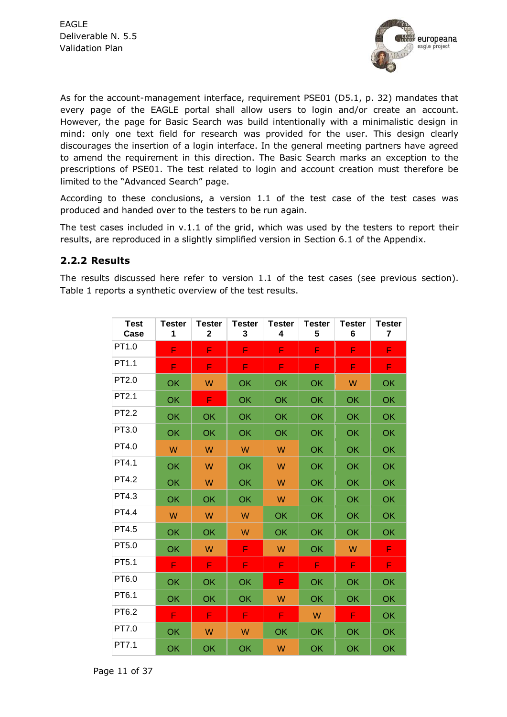

As for the account-management interface, requirement PSE01 (D5.1, p. 32) mandates that every page of the EAGLE portal shall allow users to login and/or create an account. However, the page for Basic Search was build intentionally with a minimalistic design in mind: only one text field for research was provided for the user. This design clearly discourages the insertion of a login interface. In the general meeting partners have agreed to amend the requirement in this direction. The Basic Search marks an exception to the prescriptions of PSE01. The test related to login and account creation must therefore be limited to the "Advanced Search" page.

According to these conclusions, a version 1.1 of the test case of the test cases was produced and handed over to the testers to be run again.

The test cases included in v.1.1 of the grid, which was used by the testers to report their results, are reproduced in a slightly simplified version in Section [6.1](#page-25-0) of the Appendix.

#### <span id="page-10-0"></span>**2.2.2 Results**

The results discussed here refer to version 1.1 of the test cases (see previous section). Table 1 reports a synthetic overview of the test results.

| <b>Test</b><br>Case | <b>Tester</b><br>1 | <b>Tester</b><br>$\mathbf 2$ | <b>Tester</b><br>3 | <b>Tester</b><br>4 | Tester<br>5 | Tester<br>6 | Tester<br>$\overline{\mathbf{r}}$ |
|---------------------|--------------------|------------------------------|--------------------|--------------------|-------------|-------------|-----------------------------------|
| PT1.0               | F                  | F                            | F                  | F                  | F           | F           | F                                 |
| PT1.1               | F                  | F                            | F                  | F                  | F           | F           | F                                 |
| PT2.0               | OK                 | W                            | OK                 | OK                 | OK          | W           | OK                                |
| PT2.1               | OK                 | F                            | OK                 | OK                 | OK          | OK          | OK                                |
| PT2.2               | OK                 | OK                           | OK                 | OK                 | OK          | OK          | OK                                |
| PT3.0               | OK                 | OK                           | OK                 | OK                 | OK          | OK          | OK                                |
| PT4.0               | W                  | W                            | W                  | W                  | OK          | OK          | OK                                |
| PT4.1               | OK                 | W                            | OK                 | W                  | OK          | OK          | OK                                |
| PT4.2               | OK                 | W                            | OK                 | W                  | OK          | OK          | OK                                |
| PT4.3               | <b>OK</b>          | OK                           | OK                 | W                  | <b>OK</b>   | OK          | OK                                |
| PT4.4               | W                  | W                            | W                  | OK                 | OK          | <b>OK</b>   | OK                                |
| PT4.5               | OK                 | OK                           | W                  | OK                 | OK          | OK          | OK                                |
| PT5.0               | OK                 | W                            | F                  | W                  | OK          | W           | F                                 |
| PT5.1               | F                  | F                            | F                  | F                  | F           | F           | F                                 |
| PT6.0               | OK                 | OK                           | OK                 | F                  | OK          | OK          | OK                                |
| PT6.1               | OK                 | OK                           | OK                 | W                  | OK          | OK          | OK                                |
| PT6.2               | F                  | F                            | F                  | F                  | W           | F           | OK                                |
| PT7.0               | OK                 | W                            | W                  | OK                 | OK          | OK          | OK                                |
| PT7.1               | OK                 | OK                           | OK                 | W                  | OK          | OK          | OK                                |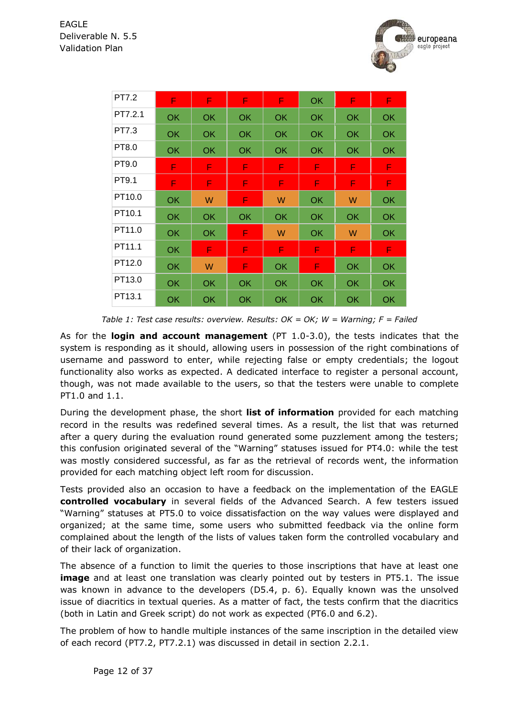

| PT7.2   | F         | F         | F         | F         | <b>OK</b> | F         | F         |
|---------|-----------|-----------|-----------|-----------|-----------|-----------|-----------|
| PT7.2.1 | OK        | <b>OK</b> | <b>OK</b> | OK.       | <b>OK</b> | OK        | <b>OK</b> |
| PT7.3   | OK        | <b>OK</b> | <b>OK</b> | OK.       | <b>OK</b> | OK        | <b>OK</b> |
| PT8.0   | OK.       | <b>OK</b> | <b>OK</b> | <b>OK</b> | OK        | <b>OK</b> | <b>OK</b> |
| PT9.0   | F.        | F.        | F.        | F         | F         | F         | F         |
| PT9.1   | F         | F         | F         | F         | F         | F         | F         |
| PT10.0  | OK        | W         | F         | W         | OK        | W         | <b>OK</b> |
| PT10.1  | <b>OK</b> | <b>OK</b> | <b>OK</b> | <b>OK</b> | OK        | OK        | OK        |
| PT11.0  | <b>OK</b> | <b>OK</b> | F         | W         | <b>OK</b> | W         | <b>OK</b> |
| PT11.1  | <b>OK</b> | F         | F         | F         | F         | F         | F         |
| PT12.0  | <b>OK</b> | W         | F         | <b>OK</b> | F         | OK        | OK        |
| PT13.0  | <b>OK</b> | <b>OK</b> | <b>OK</b> | <b>OK</b> | OK        | OK        | <b>OK</b> |
| PT13.1  | OK        | OK        | OK        | <b>OK</b> | OK        | OK        | OK        |

*Table 1: Test case results: overview. Results: OK = OK; W = Warning; F = Failed*

As for the **login and account management** (PT 1.0-3.0), the tests indicates that the system is responding as it should, allowing users in possession of the right combinations of username and password to enter, while rejecting false or empty credentials; the logout functionality also works as expected. A dedicated interface to register a personal account, though, was not made available to the users, so that the testers were unable to complete PT1.0 and 1.1.

During the development phase, the short **list of information** provided for each matching record in the results was redefined several times. As a result, the list that was returned after a query during the evaluation round generated some puzzlement among the testers; this confusion originated several of the "Warning" statuses issued for PT4.0: while the test was mostly considered successful, as far as the retrieval of records went, the information provided for each matching object left room for discussion.

Tests provided also an occasion to have a feedback on the implementation of the EAGLE **controlled vocabulary** in several fields of the Advanced Search. A few testers issued "Warning" statuses at PT5.0 to voice dissatisfaction on the way values were displayed and organized; at the same time, some users who submitted feedback via the online form complained about the length of the lists of values taken form the controlled vocabulary and of their lack of organization.

The absence of a function to limit the queries to those inscriptions that have at least one **image** and at least one translation was clearly pointed out by testers in PT5.1. The issue was known in advance to the developers (D5.4, p. 6). Equally known was the unsolved issue of diacritics in textual queries. As a matter of fact, the tests confirm that the diacritics (both in Latin and Greek script) do not work as expected (PT6.0 and 6.2).

The problem of how to handle multiple instances of the same inscription in the detailed view of each record (PT7.2, PT7.2.1) was discussed in detail in section [2.2.1.](#page-9-0)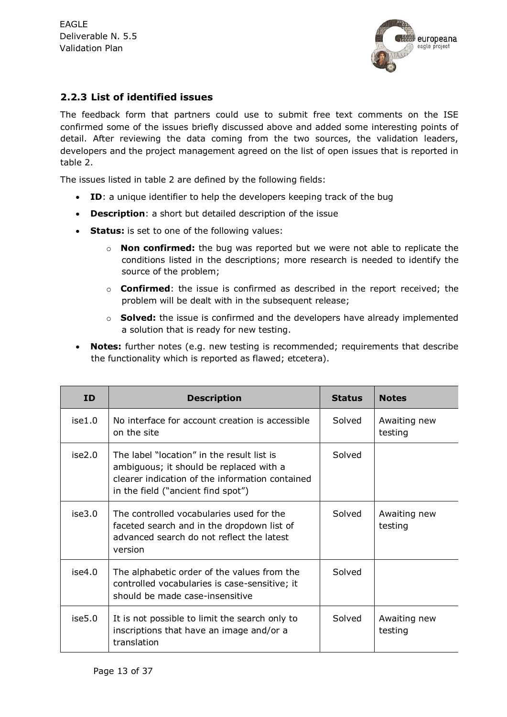

#### <span id="page-12-0"></span>**2.2.3 List of identified issues**

The feedback form that partners could use to submit free text comments on the ISE confirmed some of the issues briefly discussed above and added some interesting points of detail. After reviewing the data coming from the two sources, the validation leaders, developers and the project management agreed on the list of open issues that is reported in table 2.

The issues listed in table 2 are defined by the following fields:

- **ID**: a unique identifier to help the developers keeping track of the bug
- **Description**: a short but detailed description of the issue
- **Status:** is set to one of the following values:
	- o **Non confirmed:** the bug was reported but we were not able to replicate the conditions listed in the descriptions; more research is needed to identify the source of the problem;
	- o **Confirmed**: the issue is confirmed as described in the report received; the problem will be dealt with in the subsequent release;
	- o **Solved:** the issue is confirmed and the developers have already implemented a solution that is ready for new testing.
- **Notes:** further notes (e.g. new testing is recommended; requirements that describe the functionality which is reported as flawed; etcetera).

| <b>ID</b> | <b>Description</b>                                                                                                                                                             | <b>Status</b> | <b>Notes</b>            |
|-----------|--------------------------------------------------------------------------------------------------------------------------------------------------------------------------------|---------------|-------------------------|
| ise1.0    | No interface for account creation is accessible<br>on the site                                                                                                                 | Solved        | Awaiting new<br>testing |
| ise2.0    | The label "location" in the result list is<br>ambiguous; it should be replaced with a<br>clearer indication of the information contained<br>in the field ("ancient find spot") | Solved        |                         |
| ise3.0    | The controlled vocabularies used for the<br>faceted search and in the dropdown list of<br>advanced search do not reflect the latest<br>version                                 | Solved        | Awaiting new<br>testing |
| ise4.0    | The alphabetic order of the values from the<br>controlled vocabularies is case-sensitive; it<br>should be made case-insensitive                                                | Solved        |                         |
| ise5.0    | It is not possible to limit the search only to<br>inscriptions that have an image and/or a<br>translation                                                                      | Solved        | Awaiting new<br>testing |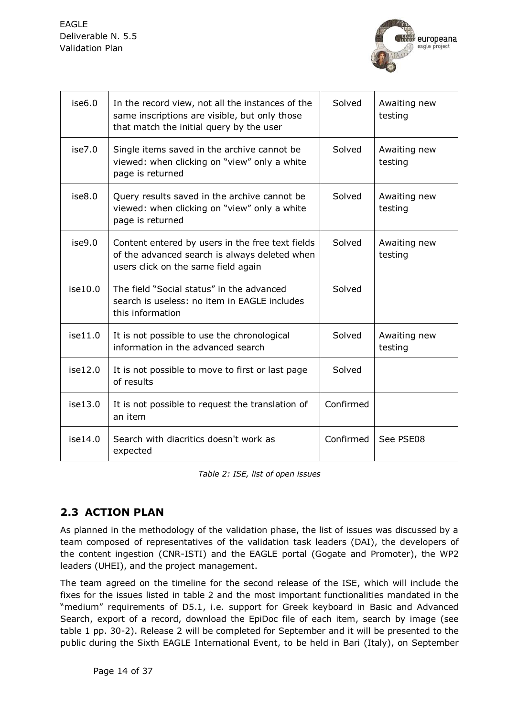

| ise6.0  | In the record view, not all the instances of the<br>same inscriptions are visible, but only those<br>that match the initial query by the user | Solved    | Awaiting new<br>testing |
|---------|-----------------------------------------------------------------------------------------------------------------------------------------------|-----------|-------------------------|
| ise7.0  | Single items saved in the archive cannot be<br>viewed: when clicking on "view" only a white<br>page is returned                               | Solved    | Awaiting new<br>testing |
| ise8.0  | Query results saved in the archive cannot be<br>viewed: when clicking on "view" only a white<br>page is returned                              | Solved    | Awaiting new<br>testing |
| ise9.0  | Content entered by users in the free text fields<br>of the advanced search is always deleted when<br>users click on the same field again      | Solved    | Awaiting new<br>testing |
| ise10.0 | The field "Social status" in the advanced<br>search is useless: no item in EAGLE includes<br>this information                                 | Solved    |                         |
| ise11.0 | It is not possible to use the chronological<br>information in the advanced search                                                             | Solved    | Awaiting new<br>testing |
| ise12.0 | It is not possible to move to first or last page<br>of results                                                                                | Solved    |                         |
| ise13.0 | It is not possible to request the translation of<br>an item                                                                                   | Confirmed |                         |
| ise14.0 | Search with diacritics doesn't work as<br>expected                                                                                            | Confirmed | See PSE08               |

#### **2.3 ACTION PLAN**

As planned in the methodology of the validation phase, the list of issues was discussed by a team composed of representatives of the validation task leaders (DAI), the developers of the content ingestion (CNR-ISTI) and the EAGLE portal (Gogate and Promoter), the WP2 leaders (UHEI), and the project management.

The team agreed on the timeline for the second release of the ISE, which will include the fixes for the issues listed in table 2 and the most important functionalities mandated in the "medium" requirements of D5.1, i.e. support for Greek keyboard in Basic and Advanced Search, export of a record, download the EpiDoc file of each item, search by image (see table 1 pp. 30-2). Release 2 will be completed for September and it will be presented to the public during the Sixth EAGLE International Event, to be held in Bari (Italy), on September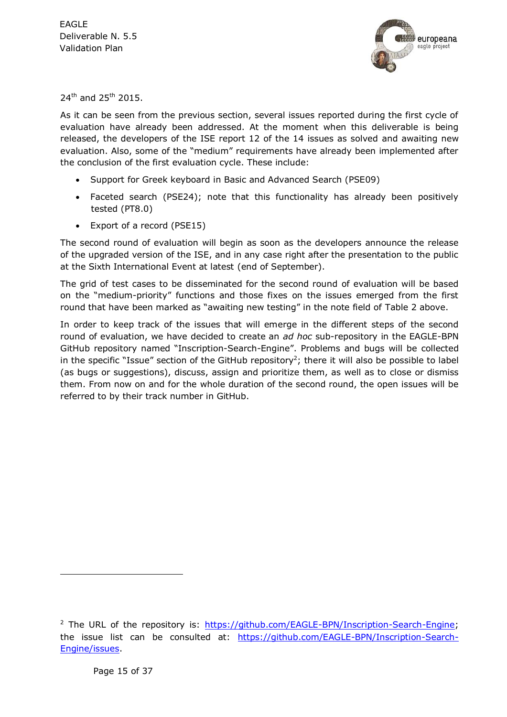

24<sup>th</sup> and 25<sup>th</sup> 2015.

As it can be seen from the previous section, several issues reported during the first cycle of evaluation have already been addressed. At the moment when this deliverable is being released, the developers of the ISE report 12 of the 14 issues as solved and awaiting new evaluation. Also, some of the "medium" requirements have already been implemented after the conclusion of the first evaluation cycle. These include:

- Support for Greek keyboard in Basic and Advanced Search (PSE09)
- Faceted search (PSE24); note that this functionality has already been positively tested (PT8.0)
- Export of a record (PSE15)

The second round of evaluation will begin as soon as the developers announce the release of the upgraded version of the ISE, and in any case right after the presentation to the public at the Sixth International Event at latest (end of September).

The grid of test cases to be disseminated for the second round of evaluation will be based on the "medium-priority" functions and those fixes on the issues emerged from the first round that have been marked as "awaiting new testing" in the note field of Table 2 above.

In order to keep track of the issues that will emerge in the different steps of the second round of evaluation, we have decided to create an *ad hoc* sub-repository in the EAGLE-BPN GitHub repository named "Inscription-Search-Engine". Problems and bugs will be collected in the specific "Issue" section of the GitHub repository<sup>2</sup>; there it will also be possible to label (as bugs or suggestions), discuss, assign and prioritize them, as well as to close or dismiss them. From now on and for the whole duration of the second round, the open issues will be referred to by their track number in GitHub.

-

<sup>&</sup>lt;sup>2</sup> The URL of the repository is: [https://github.com/EAGLE-BPN/Inscription-Search-Engine;](https://github.com/EAGLE-BPN/Inscription-Search-Engine) the issue list can be consulted at: [https://github.com/EAGLE-BPN/Inscription-Search-](https://github.com/EAGLE-BPN/Inscription-Search-Engine/issues)[Engine/issues.](https://github.com/EAGLE-BPN/Inscription-Search-Engine/issues)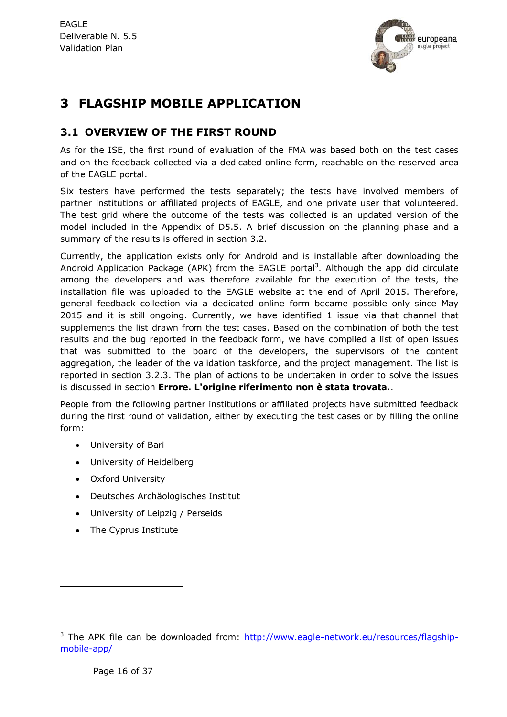

## **3 FLAGSHIP MOBILE APPLICATION**

#### <span id="page-15-0"></span>**3.1 OVERVIEW OF THE FIRST ROUND**

As for the ISE, the first round of evaluation of the FMA was based both on the test cases and on the feedback collected via a dedicated online form, reachable on the reserved area of the EAGLE portal.

Six testers have performed the tests separately; the tests have involved members of partner institutions or affiliated projects of EAGLE, and one private user that volunteered. The test grid where the outcome of the tests was collected is an updated version of the model included in the Appendix of D5.5. A brief discussion on the planning phase and a summary of the results is offered in section [3.2.](#page-16-1)

Currently, the application exists only for Android and is installable after downloading the Android Application Package (APK) from the EAGLE portal<sup>3</sup>. Although the app did circulate among the developers and was therefore available for the execution of the tests, the installation file was uploaded to the EAGLE website at the end of April 2015. Therefore, general feedback collection via a dedicated online form became possible only since May 2015 and it is still ongoing. Currently, we have identified 1 issue via that channel that supplements the list drawn from the test cases. Based on the combination of both the test results and the bug reported in the feedback form, we have compiled a list of open issues that was submitted to the board of the developers, the supervisors of the content aggregation, the leader of the validation taskforce, and the project management. The list is reported in section [3.2.3.](#page-18-0) The plan of actions to be undertaken in order to solve the issues is discussed in section **Errore. L'origine riferimento non è stata trovata.**.

People from the following partner institutions or affiliated projects have submitted feedback during the first round of validation, either by executing the test cases or by filling the online form:

- University of Bari
- University of Heidelberg
- Oxford University
- Deutsches Archäologisches Institut
- University of Leipzig / Perseids
- The Cyprus Institute

-

<sup>&</sup>lt;sup>3</sup> The APK file can be downloaded from: [http://www.eagle-network.eu/resources/flagship](http://www.eagle-network.eu/resources/flagship-mobile-app/)[mobile-app/](http://www.eagle-network.eu/resources/flagship-mobile-app/)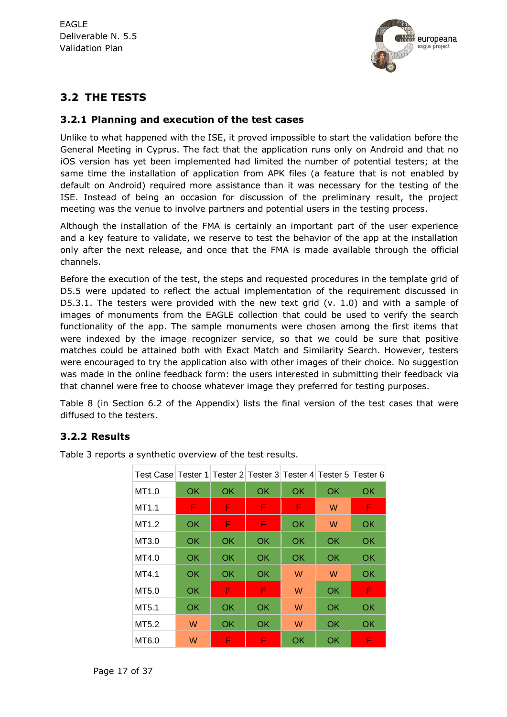

#### <span id="page-16-1"></span>**3.2 THE TESTS**

#### <span id="page-16-0"></span>**3.2.1 Planning and execution of the test cases**

Unlike to what happened with the ISE, it proved impossible to start the validation before the General Meeting in Cyprus. The fact that the application runs only on Android and that no iOS version has yet been implemented had limited the number of potential testers; at the same time the installation of application from APK files (a feature that is not enabled by default on Android) required more assistance than it was necessary for the testing of the ISE. Instead of being an occasion for discussion of the preliminary result, the project meeting was the venue to involve partners and potential users in the testing process.

Although the installation of the FMA is certainly an important part of the user experience and a key feature to validate, we reserve to test the behavior of the app at the installation only after the next release, and once that the FMA is made available through the official channels.

Before the execution of the test, the steps and requested procedures in the template grid of D5.5 were updated to reflect the actual implementation of the requirement discussed in D5.3.1. The testers were provided with the new text grid (v. 1.0) and with a sample of images of monuments from the EAGLE collection that could be used to verify the search functionality of the app. The sample monuments were chosen among the first items that were indexed by the image recognizer service, so that we could be sure that positive matches could be attained both with Exact Match and Similarity Search. However, testers were encouraged to try the application also with other images of their choice. No suggestion was made in the online feedback form: the users interested in submitting their feedback via that channel were free to choose whatever image they preferred for testing purposes.

[Table 8](#page-33-0) (in Section [6.2](#page-31-0) of the Appendix) lists the final version of the test cases that were diffused to the testers.

#### **3.2.2 Results**

| Test Case Tester 1 Tester 2 Tester 3 Tester 4 Tester 5 Tester 6 |    |     |    |    |    |    |
|-----------------------------------------------------------------|----|-----|----|----|----|----|
| MT <sub>1.0</sub>                                               | OK | OK  | OK | OK | OK | OK |
| MT <sub>1.1</sub>                                               | F  | F   | F  | F  | W  | F  |
| MT <sub>1.2</sub>                                               | OK | F   | F  | OK | W  | OK |
| MT3.0                                                           | OK | OK  | OK | OK | OK | OK |
| MT4.0                                                           | OK | OK  | OK | OK | OK | OK |
| MT4.1                                                           | OK | OK  | OK | W  | W  | OK |
| MT5.0                                                           | OK | F   | F  | W  | OK | F  |
| MT5.1                                                           | OK | OK  | ОK | W  | OK | OK |
| MT5.2                                                           | W  | OK. | OK | W  | OK | OK |
| MT6.0                                                           | W  | F   | F  | OK | OK | F  |

[Table 3](#page-17-0) reports a synthetic overview of the test results.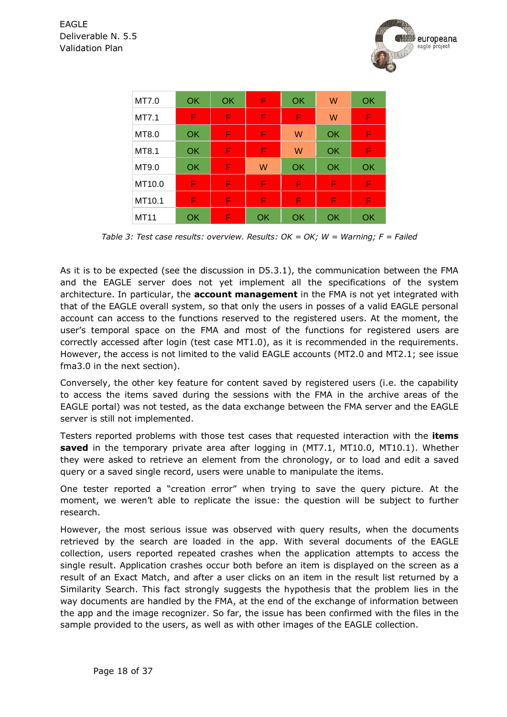

| MT7.0       | OK | OK | F  | OK | W  | OK |
|-------------|----|----|----|----|----|----|
| MT7.1       | F  | F  | F  | F  | W  | F  |
| MT8.0       | OK | F  | F  | W  | OK | F  |
| MT8.1       | OK | F  | F  | W  | OK | F  |
| MT9.0       | OK | F  | W  | OK | OK | OK |
| MT10.0      | F  | F  | F  | F  | F  | F  |
| MT10.1      | F  | F  | F  | F  | F  | F  |
| <b>MT11</b> | OK | F  | OK | OK | OK | OK |

*Table 3: Test case results: overview. Results: OK = OK; W = Warning; F = Failed*

<span id="page-17-0"></span>As it is to be expected (see the discussion in D5.3.1), the communication between the FMA and the EAGLE server does not yet implement all the specifications of the system architecture. In particular, the **account management** in the FMA is not yet integrated with that of the EAGLE overall system, so that only the users in posses of a valid EAGLE personal account can access to the functions reserved to the registered users. At the moment, the user's temporal space on the FMA and most of the functions for registered users are correctly accessed after login (test case MT1.0), as it is recommended in the requirements. However, the access is not limited to the valid EAGLE accounts (MT2.0 and MT2.1; see issue fma3.0 in the next section).

Conversely, the other key feature for content saved by registered users (i.e. the capability to access the items saved during the sessions with the FMA in the archive areas of the EAGLE portal) was not tested, as the data exchange between the FMA server and the EAGLE server is still not implemented.

Testers reported problems with those test cases that requested interaction with the **items saved** in the temporary private area after logging in (MT7.1, MT10.0, MT10.1). Whether they were asked to retrieve an element from the chronology, or to load and edit a saved query or a saved single record, users were unable to manipulate the items.

One tester reported a "creation error" when trying to save the query picture. At the moment, we weren't able to replicate the issue: the question will be subject to further research.

However, the most serious issue was observed with query results, when the documents retrieved by the search are loaded in the app. With several documents of the EAGLE collection, users reported repeated crashes when the application attempts to access the single result. Application crashes occur both before an item is displayed on the screen as a result of an Exact Match, and after a user clicks on an item in the result list returned by a Similarity Search. This fact strongly suggests the hypothesis that the problem lies in the way documents are handled by the FMA, at the end of the exchange of information between the app and the image recognizer. So far, the issue has been confirmed with the files in the sample provided to the users, as well as with other images of the EAGLE collection.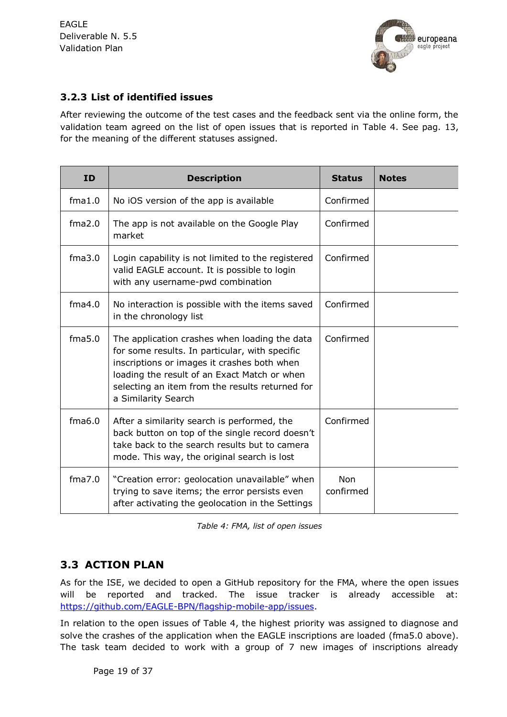

#### <span id="page-18-0"></span>**3.2.3 List of identified issues**

After reviewing the outcome of the test cases and the feedback sent via the online form, the validation team agreed on the list of open issues that is reported in [Table 4.](#page-18-1) See pag. [13,](#page-12-0) for the meaning of the different statuses assigned.

| <b>ID</b> | <b>Description</b>                                                                                                                                                                                                                                                       | <b>Status</b>           | <b>Notes</b> |
|-----------|--------------------------------------------------------------------------------------------------------------------------------------------------------------------------------------------------------------------------------------------------------------------------|-------------------------|--------------|
| fma1.0    | No iOS version of the app is available                                                                                                                                                                                                                                   | Confirmed               |              |
| fma2.0    | The app is not available on the Google Play<br>market                                                                                                                                                                                                                    | Confirmed               |              |
| fma3.0    | Login capability is not limited to the registered<br>valid EAGLE account. It is possible to login<br>with any username-pwd combination                                                                                                                                   | Confirmed               |              |
| fma4.0    | No interaction is possible with the items saved<br>in the chronology list                                                                                                                                                                                                | Confirmed               |              |
| fma5.0    | The application crashes when loading the data<br>for some results. In particular, with specific<br>inscriptions or images it crashes both when<br>loading the result of an Exact Match or when<br>selecting an item from the results returned for<br>a Similarity Search | Confirmed               |              |
| fma6.0    | After a similarity search is performed, the<br>back button on top of the single record doesn't<br>take back to the search results but to camera<br>mode. This way, the original search is lost                                                                           | Confirmed               |              |
| fma7.0    | "Creation error: geolocation unavailable" when<br>trying to save items; the error persists even<br>after activating the geolocation in the Settings                                                                                                                      | <b>Non</b><br>confirmed |              |

*Table 4: FMA, list of open issues*

#### <span id="page-18-1"></span>**3.3 ACTION PLAN**

As for the ISE, we decided to open a GitHub repository for the FMA, where the open issues will be reported and tracked. The issue tracker is already accessible at: [https://github.com/EAGLE-BPN/flagship-mobile-app/issues.](https://github.com/EAGLE-BPN/flagship-mobile-app/issues)

In relation to the open issues of Table 4, the highest priority was assigned to diagnose and solve the crashes of the application when the EAGLE inscriptions are loaded (fma5.0 above). The task team decided to work with a group of 7 new images of inscriptions already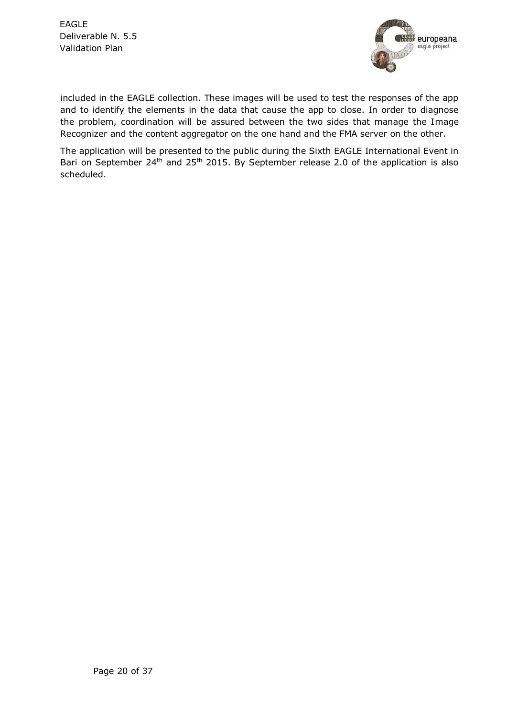

included in the EAGLE collection. These images will be used to test the responses of the app and to identify the elements in the data that cause the app to close. In order to diagnose the problem, coordination will be assured between the two sides that manage the Image Recognizer and the content aggregator on the one hand and the FMA server on the other.

The application will be presented to the public during the Sixth EAGLE International Event in Bari on September 24<sup>th</sup> and 25<sup>th</sup> 2015. By September release 2.0 of the application is also scheduled.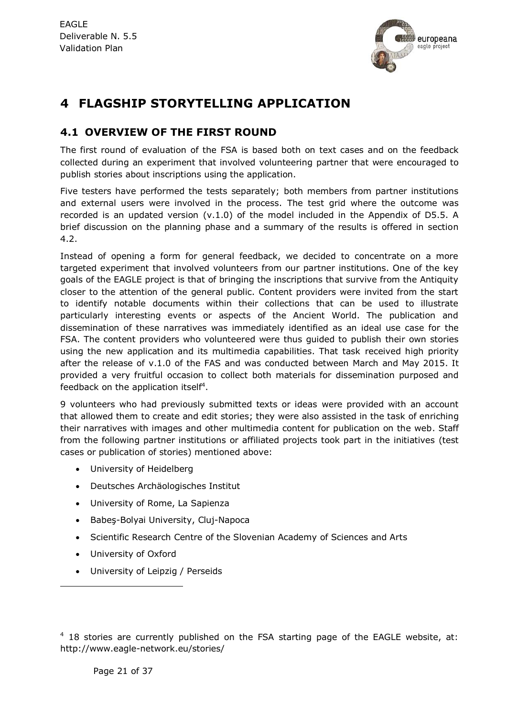

## **4 FLAGSHIP STORYTELLING APPLICATION**

#### <span id="page-20-0"></span>**4.1 OVERVIEW OF THE FIRST ROUND**

The first round of evaluation of the FSA is based both on text cases and on the feedback collected during an experiment that involved volunteering partner that were encouraged to publish stories about inscriptions using the application.

Five testers have performed the tests separately; both members from partner institutions and external users were involved in the process. The test grid where the outcome was recorded is an updated version (v.1.0) of the model included in the Appendix of D5.5. A brief discussion on the planning phase and a summary of the results is offered in section 4.2.

Instead of opening a form for general feedback, we decided to concentrate on a more targeted experiment that involved volunteers from our partner institutions. One of the key goals of the EAGLE project is that of bringing the inscriptions that survive from the Antiquity closer to the attention of the general public. Content providers were invited from the start to identify notable documents within their collections that can be used to illustrate particularly interesting events or aspects of the Ancient World. The publication and dissemination of these narratives was immediately identified as an ideal use case for the FSA. The content providers who volunteered were thus guided to publish their own stories using the new application and its multimedia capabilities. That task received high priority after the release of v.1.0 of the FAS and was conducted between March and May 2015. It provided a very fruitful occasion to collect both materials for dissemination purposed and feedback on the application itself<sup>4</sup>.

9 volunteers who had previously submitted texts or ideas were provided with an account that allowed them to create and edit stories; they were also assisted in the task of enriching their narratives with images and other multimedia content for publication on the web. Staff from the following partner institutions or affiliated projects took part in the initiatives (test cases or publication of stories) mentioned above:

- University of Heidelberg
- Deutsches Archäologisches Institut
- University of Rome, La Sapienza
- Babes-Bolyai University, Clui-Napoca
- Scientific Research Centre of the Slovenian Academy of Sciences and Arts
- University of Oxford

-

University of Leipzig / Perseids

 $4$  18 stories are currently published on the FSA starting page of the EAGLE website, at: http://www.eagle-network.eu/stories/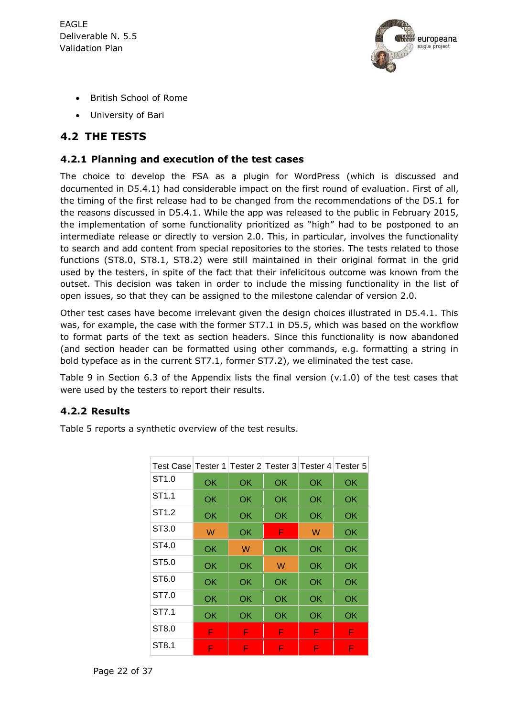

- British School of Rome
- University of Bari

#### **4.2 THE TESTS**

#### <span id="page-21-0"></span>**4.2.1 Planning and execution of the test cases**

The choice to develop the FSA as a plugin for WordPress (which is discussed and documented in D5.4.1) had considerable impact on the first round of evaluation. First of all, the timing of the first release had to be changed from the recommendations of the D5.1 for the reasons discussed in D5.4.1. While the app was released to the public in February 2015, the implementation of some functionality prioritized as "high" had to be postponed to an intermediate release or directly to version 2.0. This, in particular, involves the functionality to search and add content from special repositories to the stories. The tests related to those functions (ST8.0, ST8.1, ST8.2) were still maintained in their original format in the grid used by the testers, in spite of the fact that their infelicitous outcome was known from the outset. This decision was taken in order to include the missing functionality in the list of open issues, so that they can be assigned to the milestone calendar of version 2.0.

Other test cases have become irrelevant given the design choices illustrated in D5.4.1. This was, for example, the case with the former ST7.1 in D5.5, which was based on the workflow to format parts of the text as section headers. Since this functionality is now abandoned (and section header can be formatted using other commands, e.g. formatting a string in bold typeface as in the current ST7.1, former ST7.2), we eliminated the test case.

[Table 9](#page-36-0) in Section [6.3](#page-34-0) of the Appendix lists the final version (v.1.0) of the test cases that were used by the testers to report their results.

#### **4.2.2 Results**

[Table 5](#page-22-0) reports a synthetic overview of the test results.

| Test Case Tester 1 Tester 2 Tester 3 Tester 4 Tester 5 |    |    |    |    |    |
|--------------------------------------------------------|----|----|----|----|----|
| ST <sub>1.0</sub>                                      | OK | OK | OK | OK | OK |
| ST <sub>1.1</sub>                                      | OK | OK | OK | OK | OK |
| ST <sub>1.2</sub>                                      | OK | OK | OK | OK | OK |
| ST3.0                                                  | W  | OK | F  | W  | OK |
| ST4.0                                                  | OK | W  | OK | OK | OK |
| ST5.0                                                  | OK | OK | W  | OK | OK |
| ST6.0                                                  | OK | OK | OK | OK | OK |
| ST7.0                                                  | OK | OK | OK | OK | OK |
| ST7.1                                                  | ОK | OK | OK | OK | OK |
| ST8.0                                                  | F  | F  | F  | F  | F  |
| ST8.1                                                  | F  | F  | F  | F  | F  |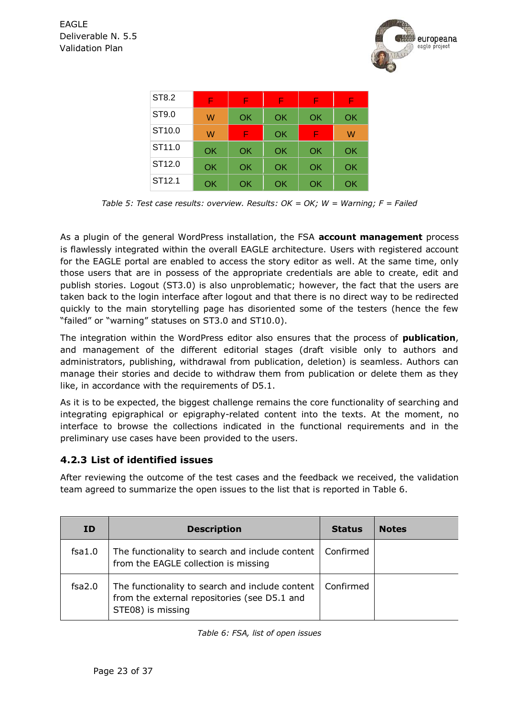

| ST8.2              | F  | F  | F  | F  | F  |
|--------------------|----|----|----|----|----|
| ST9.0              | W  | OK | OK | OK | OK |
| ST <sub>10.0</sub> | W  | F  | OK | F  | W  |
| ST <sub>11.0</sub> | OK | OK | OK | OK | OK |
| ST <sub>12.0</sub> | OK | OK | OK | OK | OK |
| ST <sub>12.1</sub> | OK | OK | OK | ΟK | OK |

*Table 5: Test case results: overview. Results: OK = OK; W = Warning; F = Failed*

<span id="page-22-0"></span>As a plugin of the general WordPress installation, the FSA **account management** process is flawlessly integrated within the overall EAGLE architecture. Users with registered account for the EAGLE portal are enabled to access the story editor as well. At the same time, only those users that are in possess of the appropriate credentials are able to create, edit and publish stories. Logout (ST3.0) is also unproblematic; however, the fact that the users are taken back to the login interface after logout and that there is no direct way to be redirected quickly to the main storytelling page has disoriented some of the testers (hence the few "failed" or "warning" statuses on ST3.0 and ST10.0).

The integration within the WordPress editor also ensures that the process of **publication**, and management of the different editorial stages (draft visible only to authors and administrators, publishing, withdrawal from publication, deletion) is seamless. Authors can manage their stories and decide to withdraw them from publication or delete them as they like, in accordance with the requirements of D5.1.

As it is to be expected, the biggest challenge remains the core functionality of searching and integrating epigraphical or epigraphy-related content into the texts. At the moment, no interface to browse the collections indicated in the functional requirements and in the preliminary use cases have been provided to the users.

#### **4.2.3 List of identified issues**

After reviewing the outcome of the test cases and the feedback we received, the validation team agreed to summarize the open issues to the list that is reported in [Table 6.](#page-22-1)

<span id="page-22-1"></span>

| ID.    | <b>Description</b>                                                                                                   | <b>Status</b> | <b>Notes</b> |
|--------|----------------------------------------------------------------------------------------------------------------------|---------------|--------------|
| fsa1.0 | The functionality to search and include content  <br>from the EAGLE collection is missing                            | Confirmed     |              |
| fsa2.0 | The functionality to search and include content<br>from the external repositories (see D5.1 and<br>STE08) is missing | Confirmed     |              |

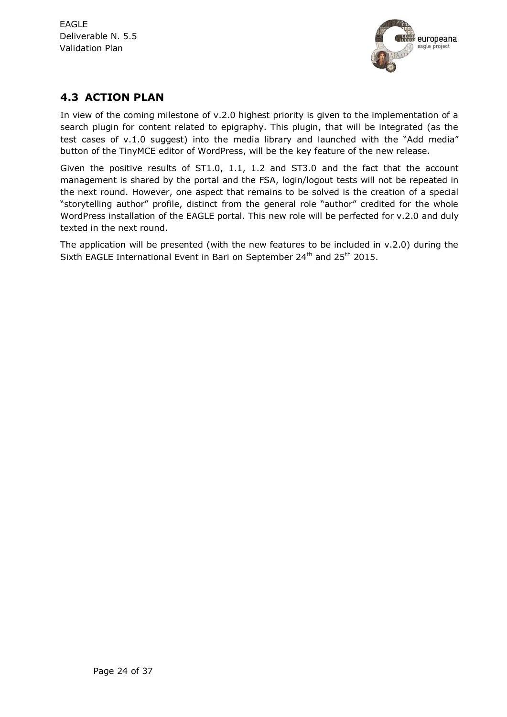

#### **4.3 ACTION PLAN**

In view of the coming milestone of v.2.0 highest priority is given to the implementation of a search plugin for content related to epigraphy. This plugin, that will be integrated (as the test cases of v.1.0 suggest) into the media library and launched with the "Add media" button of the TinyMCE editor of WordPress, will be the key feature of the new release.

Given the positive results of ST1.0, 1.1, 1.2 and ST3.0 and the fact that the account management is shared by the portal and the FSA, login/logout tests will not be repeated in the next round. However, one aspect that remains to be solved is the creation of a special "storytelling author" profile, distinct from the general role "author" credited for the whole WordPress installation of the EAGLE portal. This new role will be perfected for v.2.0 and duly texted in the next round.

The application will be presented (with the new features to be included in v.2.0) during the Sixth EAGLE International Event in Bari on September 24<sup>th</sup> and 25<sup>th</sup> 2015.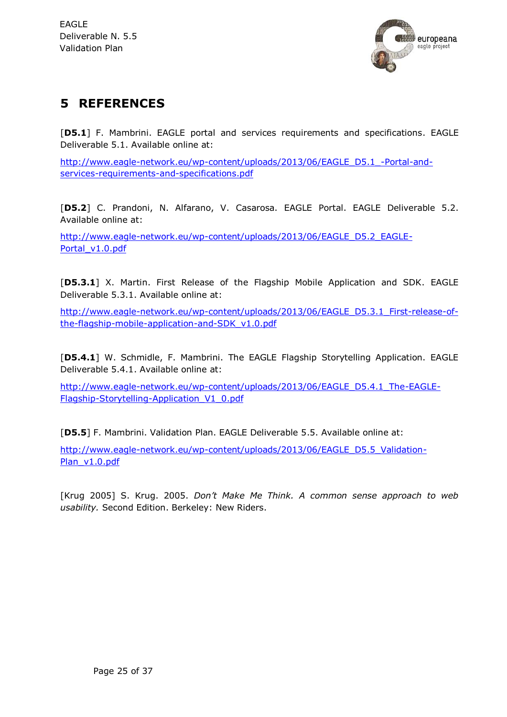

## **5 REFERENCES**

[**D5.1**] F. Mambrini. EAGLE portal and services requirements and specifications. EAGLE Deliverable 5.1. Available online at:

[http://www.eagle-network.eu/wp-content/uploads/2013/06/EAGLE\\_D5.1\\_-Portal-and](http://www.eagle-network.eu/wp-content/uploads/2013/06/EAGLE_D5.1_-Portal-and-services-requirements-and-specifications.pdf)[services-requirements-and-specifications.pdf](http://www.eagle-network.eu/wp-content/uploads/2013/06/EAGLE_D5.1_-Portal-and-services-requirements-and-specifications.pdf)

[**D5.2**] C. Prandoni, N. Alfarano, V. Casarosa. EAGLE Portal. EAGLE Deliverable 5.2. Available online at:

[http://www.eagle-network.eu/wp-content/uploads/2013/06/EAGLE\\_D5.2\\_EAGLE-](http://www.eagle-network.eu/wp-content/uploads/2013/06/EAGLE_D5.2_EAGLE-Portal_v1.0.pdf)[Portal\\_v1.0.pdf](http://www.eagle-network.eu/wp-content/uploads/2013/06/EAGLE_D5.2_EAGLE-Portal_v1.0.pdf)

[**D5.3.1**] X. Martin. First Release of the Flagship Mobile Application and SDK. EAGLE Deliverable 5.3.1. Available online at:

[http://www.eagle-network.eu/wp-content/uploads/2013/06/EAGLE\\_D5.3.1\\_First-release-of](http://www.eagle-network.eu/wp-content/uploads/2013/06/EAGLE_D5.3.1_First-release-of-the-flagship-mobile-application-and-SDK_v1.0.pdf)[the-flagship-mobile-application-and-SDK\\_v1.0.pdf](http://www.eagle-network.eu/wp-content/uploads/2013/06/EAGLE_D5.3.1_First-release-of-the-flagship-mobile-application-and-SDK_v1.0.pdf)

[**D5.4.1**] W. Schmidle, F. Mambrini. The EAGLE Flagship Storytelling Application. EAGLE Deliverable 5.4.1. Available online at:

[http://www.eagle-network.eu/wp-content/uploads/2013/06/EAGLE\\_D5.4.1\\_The-EAGLE-](http://www.eagle-network.eu/wp-content/uploads/2013/06/EAGLE_D5.4.1_The-EAGLE-Flagship-Storytelling-Application_V1_0.pdf)[Flagship-Storytelling-Application\\_V1\\_0.pdf](http://www.eagle-network.eu/wp-content/uploads/2013/06/EAGLE_D5.4.1_The-EAGLE-Flagship-Storytelling-Application_V1_0.pdf)

[**D5.5**] F. Mambrini. Validation Plan. EAGLE Deliverable 5.5. Available online at:

[http://www.eagle-network.eu/wp-content/uploads/2013/06/EAGLE\\_D5.5\\_Validation-](http://www.eagle-network.eu/wp-content/uploads/2013/06/EAGLE_D5.5_Validation-Plan_v1.0.pdf)[Plan\\_v1.0.pdf](http://www.eagle-network.eu/wp-content/uploads/2013/06/EAGLE_D5.5_Validation-Plan_v1.0.pdf)

[Krug 2005] S. Krug. 2005. *Don't Make Me Think. A common sense approach to web usability.* Second Edition. Berkeley: New Riders.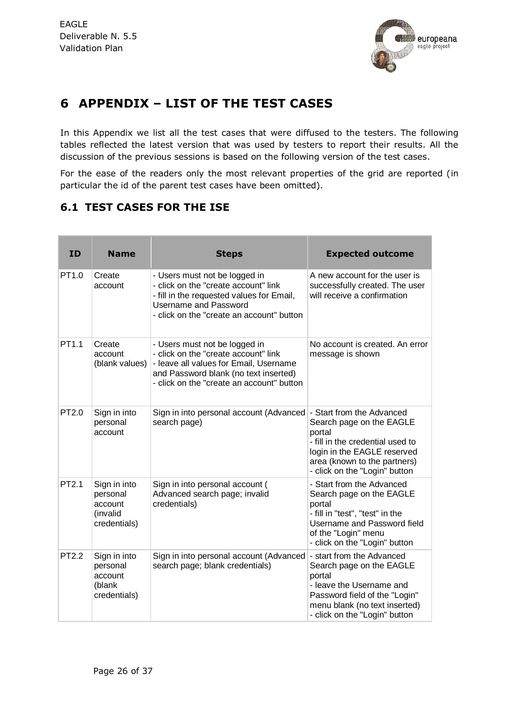

## **6 APPENDIX – LIST OF THE TEST CASES**

In this Appendix we list all the test cases that were diffused to the testers. The following tables reflected the latest version that was used by testers to report their results. All the discussion of the previous sessions is based on the following version of the test cases.

For the ease of the readers only the most relevant properties of the grid are reported (in particular the id of the parent test cases have been omitted).

#### <span id="page-25-0"></span>**6.1 TEST CASES FOR THE ISE**

| ID                | <b>Name</b>                                                     | <b>Steps</b>                                                                                                                                                                                          | <b>Expected outcome</b>                                                                                                                                                                             |
|-------------------|-----------------------------------------------------------------|-------------------------------------------------------------------------------------------------------------------------------------------------------------------------------------------------------|-----------------------------------------------------------------------------------------------------------------------------------------------------------------------------------------------------|
| PT <sub>1.0</sub> | Create<br>account                                               | - Users must not be logged in<br>- click on the "create account" link<br>- fill in the requested values for Email,<br><b>Username and Password</b><br>- click on the "create an account" button       | A new account for the user is<br>successfully created. The user<br>will receive a confirmation                                                                                                      |
| PT1.1             | Create<br>account<br>(blank values)                             | - Users must not be logged in<br>- click on the "create account" link<br>- leave all values for Email, Username<br>and Password blank (no text inserted)<br>- click on the "create an account" button | No account is created. An error<br>message is shown                                                                                                                                                 |
| PT2.0             | Sign in into<br>personal<br>account                             | Sign in into personal account (Advanced<br>search page)                                                                                                                                               | - Start from the Advanced<br>Search page on the EAGLE<br>portal<br>- fill in the credential used to<br>login in the EAGLE reserved<br>area (known to the partners)<br>- click on the "Login" button |
| PT2.1             | Sign in into<br>personal<br>account<br>(invalid<br>credentials) | Sign in into personal account (<br>Advanced search page; invalid<br>credentials)                                                                                                                      | - Start from the Advanced<br>Search page on the EAGLE<br>portal<br>- fill in "test", "test" in the<br>Username and Password field<br>of the "Login" menu<br>- click on the "Login" button           |
| PT2.2             | Sign in into<br>personal<br>account<br>(blank<br>credentials)   | Sign in into personal account (Advanced<br>search page; blank credentials)                                                                                                                            | - start from the Advanced<br>Search page on the EAGLE<br>portal<br>- leave the Username and<br>Password field of the "Login"<br>menu blank (no text inserted)<br>- click on the "Login" button      |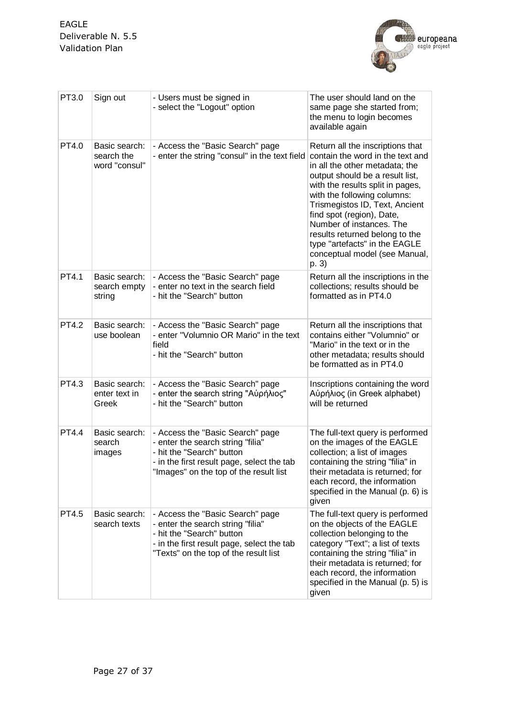

| PT3.0        | Sign out                                     | - Users must be signed in<br>- select the "Logout" option                                                                                                                                  | The user should land on the<br>same page she started from;<br>the menu to login becomes<br>available again                                                                                                                                                                                                                                                                                                           |
|--------------|----------------------------------------------|--------------------------------------------------------------------------------------------------------------------------------------------------------------------------------------------|----------------------------------------------------------------------------------------------------------------------------------------------------------------------------------------------------------------------------------------------------------------------------------------------------------------------------------------------------------------------------------------------------------------------|
| PT4.0        | Basic search:<br>search the<br>word "consul" | - Access the "Basic Search" page<br>- enter the string "consul" in the text field                                                                                                          | Return all the inscriptions that<br>contain the word in the text and<br>in all the other metadata; the<br>output should be a result list,<br>with the results split in pages,<br>with the following columns:<br>Trismegistos ID, Text, Ancient<br>find spot (region), Date,<br>Number of instances. The<br>results returned belong to the<br>type "artefacts" in the EAGLE<br>conceptual model (see Manual,<br>p. 3) |
| PT4.1        | Basic search:<br>search empty<br>string      | - Access the "Basic Search" page<br>- enter no text in the search field<br>- hit the "Search" button                                                                                       | Return all the inscriptions in the<br>collections; results should be<br>formatted as in PT4.0                                                                                                                                                                                                                                                                                                                        |
| <b>PT4.2</b> | Basic search:<br>use boolean                 | - Access the "Basic Search" page<br>- enter "Volumnio OR Mario" in the text<br>field<br>- hit the "Search" button                                                                          | Return all the inscriptions that<br>contains either "Volumnio" or<br>"Mario" in the text or in the<br>other metadata; results should<br>be formatted as in PT4.0                                                                                                                                                                                                                                                     |
| PT4.3        | Basic search:<br>enter text in<br>Greek      | - Access the "Basic Search" page<br>- enter the search string "Αὐρήλιος"<br>- hit the "Search" button                                                                                      | Inscriptions containing the word<br>Αὐρήλιος (in Greek alphabet)<br>will be returned                                                                                                                                                                                                                                                                                                                                 |
| PT4.4        | Basic search:<br>search<br>images            | - Access the "Basic Search" page<br>- enter the search string "filia"<br>- hit the "Search" button<br>- in the first result page, select the tab<br>"Images" on the top of the result list | The full-text query is performed<br>on the images of the EAGLE<br>collection; a list of images<br>containing the string "filia" in<br>their metadata is returned; for<br>each record, the information<br>specified in the Manual (p. 6) is<br>given                                                                                                                                                                  |
| PT4.5        | Basic search:<br>search texts                | - Access the "Basic Search" page<br>- enter the search string "filia"<br>- hit the "Search" button<br>- in the first result page, select the tab<br>"Texts" on the top of the result list  | The full-text query is performed<br>on the objects of the EAGLE<br>collection belonging to the<br>category "Text"; a list of texts<br>containing the string "filia" in<br>their metadata is returned; for<br>each record, the information<br>specified in the Manual (p. 5) is<br>given                                                                                                                              |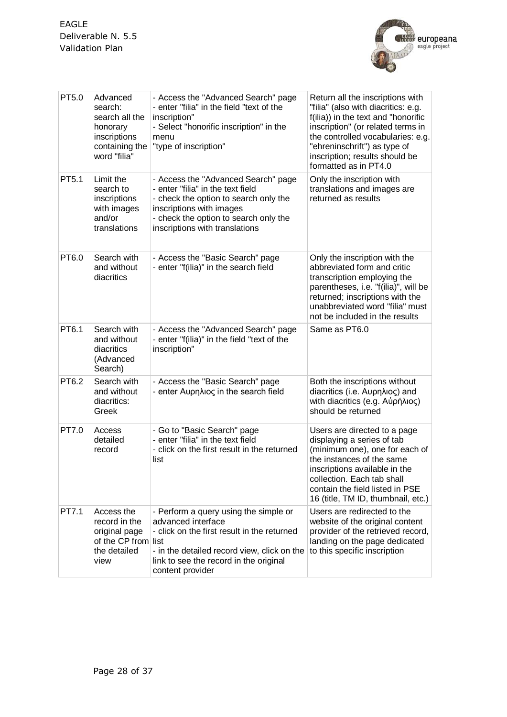

| PT5.0 | Advanced<br>search:<br>search all the<br>honorary<br>inscriptions<br>containing the<br>word "filia" | - Access the "Advanced Search" page<br>- enter "filia" in the field "text of the<br>inscription"<br>- Select "honorific inscription" in the<br>menu<br>"type of inscription"                                             | Return all the inscriptions with<br>"filia" (also with diacritics: e.g.<br>f(ilia)) in the text and "honorific<br>inscription" (or related terms in<br>the controlled vocabularies: e.g.<br>"ehreninschrift") as type of<br>inscription; results should be<br>formatted as in PT4.0 |
|-------|-----------------------------------------------------------------------------------------------------|--------------------------------------------------------------------------------------------------------------------------------------------------------------------------------------------------------------------------|-------------------------------------------------------------------------------------------------------------------------------------------------------------------------------------------------------------------------------------------------------------------------------------|
| PT5.1 | Limit the<br>search to<br>inscriptions<br>with images<br>and/or<br>translations                     | - Access the "Advanced Search" page<br>- enter "filia" in the text field<br>- check the option to search only the<br>inscriptions with images<br>- check the option to search only the<br>inscriptions with translations | Only the inscription with<br>translations and images are<br>returned as results                                                                                                                                                                                                     |
| PT6.0 | Search with<br>and without<br>diacritics                                                            | - Access the "Basic Search" page<br>- enter "f(ilia)" in the search field                                                                                                                                                | Only the inscription with the<br>abbreviated form and critic<br>transcription employing the<br>parentheses, i.e. "f(ilia)", will be<br>returned; inscriptions with the<br>unabbreviated word "filia" must<br>not be included in the results                                         |
| PT6.1 | Search with<br>and without<br>diacritics<br>(Advanced<br>Search)                                    | - Access the "Advanced Search" page<br>- enter "f(ilia)" in the field "text of the<br>inscription"                                                                                                                       | Same as PT6.0                                                                                                                                                                                                                                                                       |
| PT6.2 | Search with<br>and without<br>diacritics:<br>Greek                                                  | - Access the "Basic Search" page<br>- enter Αυρηλιος in the search field                                                                                                                                                 | Both the inscriptions without<br>diacritics (i.e. Αυρηλιος) and<br>with diacritics (e.g. Αὐρήλιος)<br>should be returned                                                                                                                                                            |
| PT7.0 | Access<br>detailed<br>record                                                                        | - Go to "Basic Search" page<br>- enter "filia" in the text field<br>- click on the first result in the returned<br>list                                                                                                  | Users are directed to a page<br>displaying a series of tab<br>(minimum one), one for each of<br>the instances of the same<br>inscriptions available in the<br>collection. Each tab shall<br>contain the field listed in PSE<br>16 (title, TM ID, thumbnail, etc.)                   |
| PT7.1 | Access the<br>record in the<br>original page<br>of the CP from list<br>the detailed<br>view         | - Perform a query using the simple or<br>advanced interface<br>- click on the first result in the returned<br>- in the detailed record view, click on the<br>link to see the record in the original<br>content provider  | Users are redirected to the<br>website of the original content<br>provider of the retrieved record,<br>landing on the page dedicated<br>to this specific inscription                                                                                                                |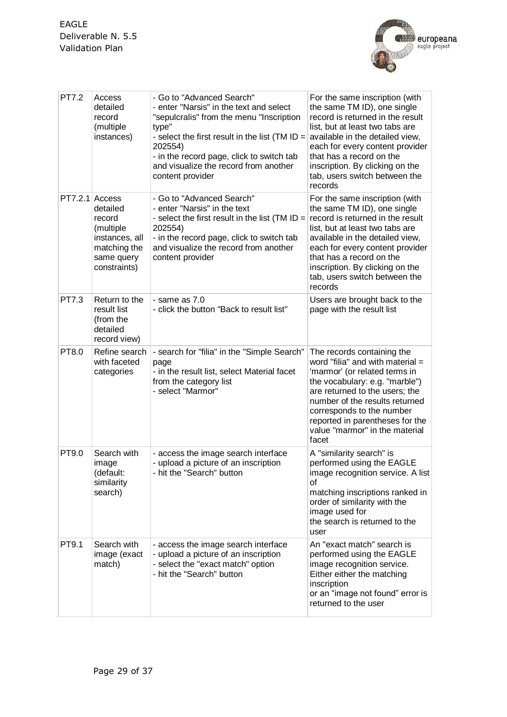

| <b>PT7.2</b>     | Access<br>detailed<br>record<br>(multiple<br>instances)                                         | - Go to "Advanced Search"<br>- enter "Narsis" in the text and select<br>"sepulcralis" from the menu "Inscription<br>type"<br>- select the first result in the list (TM ID $=$<br>202554)<br>- in the record page, click to switch tab<br>and visualize the record from another<br>content provider | For the same inscription (with<br>the same TM ID), one single<br>record is returned in the result<br>list, but at least two tabs are<br>available in the detailed view,<br>each for every content provider<br>that has a record on the<br>inscription. By clicking on the<br>tab, users switch between the<br>records |
|------------------|-------------------------------------------------------------------------------------------------|----------------------------------------------------------------------------------------------------------------------------------------------------------------------------------------------------------------------------------------------------------------------------------------------------|-----------------------------------------------------------------------------------------------------------------------------------------------------------------------------------------------------------------------------------------------------------------------------------------------------------------------|
| $PT7.2.1$ Access | detailed<br>record<br>(multiple<br>instances, all<br>matching the<br>same query<br>constraints) | - Go to "Advanced Search"<br>- enter "Narsis" in the text<br>- select the first result in the list (TM ID $=$<br>202554)<br>- in the record page, click to switch tab<br>and visualize the record from another<br>content provider                                                                 | For the same inscription (with<br>the same TM ID), one single<br>record is returned in the result<br>list, but at least two tabs are<br>available in the detailed view,<br>each for every content provider<br>that has a record on the<br>inscription. By clicking on the<br>tab, users switch between the<br>records |
| PT7.3            | Return to the<br>result list<br>(from the<br>detailed<br>record view)                           | $-$ same as $7.0$<br>- click the button "Back to result list"                                                                                                                                                                                                                                      | Users are brought back to the<br>page with the result list                                                                                                                                                                                                                                                            |
| PT8.0            | Refine search<br>with faceted<br>categories                                                     | - search for "filia" in the "Simple Search"<br>page<br>- in the result list, select Material facet<br>from the category list<br>- select "Marmor"                                                                                                                                                  | The records containing the<br>word "filia" and with material =<br>'marmor' (or related terms in<br>the vocabulary: e.g. "marble")<br>are returned to the users; the<br>number of the results returned<br>corresponds to the number<br>reported in parentheses for the<br>value "marmor" in the material<br>facet      |
| PT9.0            | Search with<br>image<br>(default:<br>similarity<br>search)                                      | - access the image search interface<br>- upload a picture of an inscription<br>- hit the "Search" button                                                                                                                                                                                           | A "similarity search" is<br>performed using the EAGLE<br>image recognition service. A list<br>οf<br>matching inscriptions ranked in<br>order of similarity with the<br>image used for<br>the search is returned to the<br>user                                                                                        |
| PT9.1            | Search with<br>image (exact<br>match)                                                           | - access the image search interface<br>- upload a picture of an inscription<br>- select the "exact match" option<br>- hit the "Search" button                                                                                                                                                      | An "exact match" search is<br>performed using the EAGLE<br>image recognition service.<br>Either either the matching<br>inscription<br>or an "image not found" error is<br>returned to the user                                                                                                                        |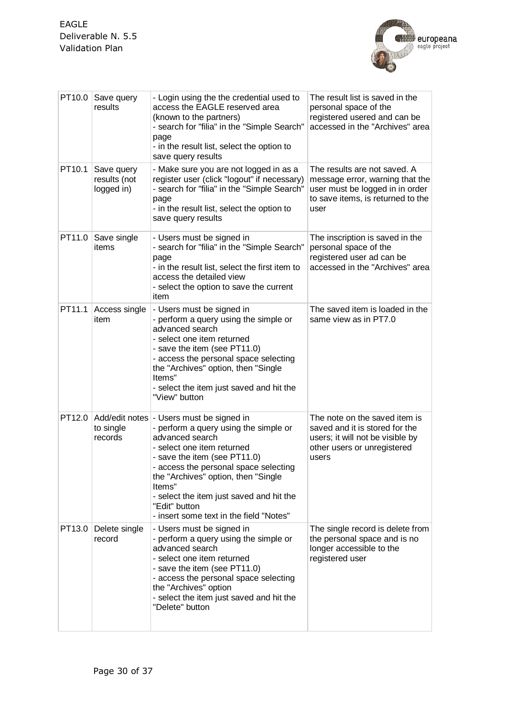

| PT10.0             | Save query<br>results                    | - Login using the the credential used to<br>access the EAGLE reserved area<br>(known to the partners)<br>- search for "filia" in the "Simple Search"<br>page<br>- in the result list, select the option to<br>save query results                                                                                                                                       | The result list is saved in the<br>personal space of the<br>registered usered and can be<br>accessed in the "Archives" area                     |
|--------------------|------------------------------------------|------------------------------------------------------------------------------------------------------------------------------------------------------------------------------------------------------------------------------------------------------------------------------------------------------------------------------------------------------------------------|-------------------------------------------------------------------------------------------------------------------------------------------------|
| PT <sub>10.1</sub> | Save query<br>results (not<br>logged in) | - Make sure you are not logged in as a<br>register user (click "logout" if necessary)<br>- search for "filia" in the "Simple Search"<br>page<br>- in the result list, select the option to<br>save query results                                                                                                                                                       | The results are not saved. A<br>message error, warning that the<br>user must be logged in in order<br>to save items, is returned to the<br>user |
| PT11.0             | Save single<br>items                     | - Users must be signed in<br>- search for "filia" in the "Simple Search"<br>page<br>- in the result list, select the first item to<br>access the detailed view<br>- select the option to save the current<br>item                                                                                                                                                      | The inscription is saved in the<br>personal space of the<br>registered user ad can be<br>accessed in the "Archives" area                        |
| PT11.1             | Access single<br>item                    | - Users must be signed in<br>- perform a query using the simple or<br>advanced search<br>- select one item returned<br>- save the item (see PT11.0)<br>- access the personal space selecting<br>the "Archives" option, then "Single<br>Items"<br>- select the item just saved and hit the<br>"View" button                                                             | The saved item is loaded in the<br>same view as in PT7.0                                                                                        |
| PT12.0             | to single<br>records                     | Add/edit notes   - Users must be signed in<br>- perform a query using the simple or<br>advanced search<br>- select one item returned<br>- save the item (see PT11.0)<br>- access the personal space selecting<br>the "Archives" option, then "Single<br>ltems"<br>- select the item just saved and hit the<br>"Edit" button<br>- insert some text in the field "Notes" | The note on the saved item is<br>saved and it is stored for the<br>users; it will not be visible by<br>other users or unregistered<br>users     |
|                    | PT13.0 Delete single<br>record           | - Users must be signed in<br>- perform a query using the simple or<br>advanced search<br>- select one item returned<br>- save the item (see PT11.0)<br>- access the personal space selecting<br>the "Archives" option<br>- select the item just saved and hit the<br>"Delete" button                                                                                   | The single record is delete from<br>the personal space and is no<br>longer accessible to the<br>registered user                                 |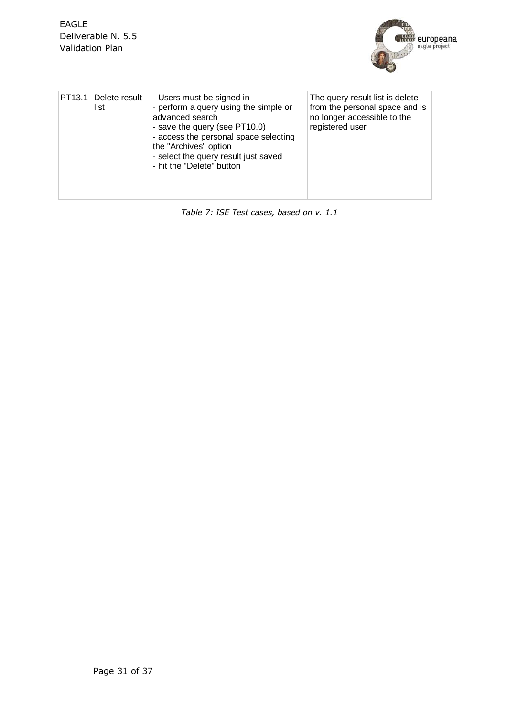

| PT13.1 Delete result<br>list | - Users must be signed in<br>- perform a query using the simple or<br>advanced search<br>- save the query (see PT10.0)<br>- access the personal space selecting<br>the "Archives" option<br>- select the query result just saved<br>- hit the "Delete" button | The query result list is delete<br>from the personal space and is<br>no longer accessible to the<br>registered user |
|------------------------------|---------------------------------------------------------------------------------------------------------------------------------------------------------------------------------------------------------------------------------------------------------------|---------------------------------------------------------------------------------------------------------------------|
|                              |                                                                                                                                                                                                                                                               |                                                                                                                     |

*Table 7: ISE Test cases, based on v. 1.1*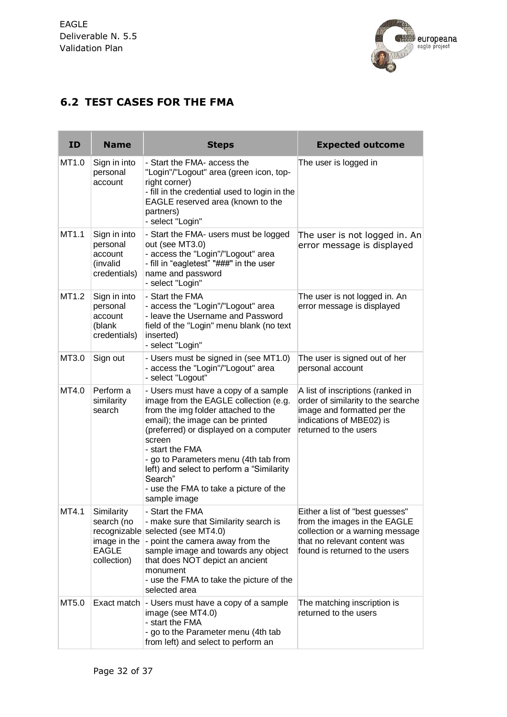the contract of the con-



### <span id="page-31-0"></span>**6.2 TEST CASES FOR THE FMA**

| <b>ID</b> | <b>Name</b>                                                             | <b>Steps</b>                                                                                                                                                                                                                                                                                                                                                                               | <b>Expected outcome</b>                                                                                                                                              |
|-----------|-------------------------------------------------------------------------|--------------------------------------------------------------------------------------------------------------------------------------------------------------------------------------------------------------------------------------------------------------------------------------------------------------------------------------------------------------------------------------------|----------------------------------------------------------------------------------------------------------------------------------------------------------------------|
| MT1.0     | Sign in into<br>personal<br>account                                     | - Start the FMA- access the<br>"Login"/"Logout" area (green icon, top-<br>right corner)<br>- fill in the credential used to login in the<br>EAGLE reserved area (known to the<br>partners)<br>- select "Login"                                                                                                                                                                             | The user is logged in                                                                                                                                                |
| MT1.1     | Sign in into<br>personal<br>account<br>(invalid<br>credentials)         | - Start the FMA- users must be logged<br>out (see MT3.0)<br>- access the "Login"/"Logout" area<br>- fill in "eagletest" "###" in the user<br>name and password<br>- select "Login"                                                                                                                                                                                                         | The user is not logged in. An<br>error message is displayed                                                                                                          |
| MT1.2     | Sign in into<br>personal<br>account<br>(blank<br>credentials)           | - Start the FMA<br>- access the "Login"/"Logout" area<br>- leave the Username and Password<br>field of the "Login" menu blank (no text<br>inserted)<br>- select "Login"                                                                                                                                                                                                                    | The user is not logged in. An<br>error message is displayed                                                                                                          |
| MT3.0     | Sign out                                                                | - Users must be signed in (see MT1.0)<br>- access the "Login"/"Logout" area<br>- select "Logout"                                                                                                                                                                                                                                                                                           | The user is signed out of her<br>personal account                                                                                                                    |
| MT4.0     | Perform a<br>similarity<br>search                                       | - Users must have a copy of a sample<br>image from the EAGLE collection (e.g.<br>from the img folder attached to the<br>email); the image can be printed<br>(preferred) or displayed on a computer<br>screen<br>- start the FMA<br>- go to Parameters menu (4th tab from<br>left) and select to perform a "Similarity<br>Search"<br>- use the FMA to take a picture of the<br>sample image | A list of inscriptions (ranked in<br>order of similarity to the searche<br>image and formatted per the<br>indications of MBE02) is<br>returned to the users          |
| MT4.1     | Similarity<br>search (no<br>image in the<br><b>EAGLE</b><br>collection) | - Start the FMA<br>- make sure that Similarity search is<br>recognizable selected (see MT4.0)<br>- point the camera away from the<br>sample image and towards any object<br>that does NOT depict an ancient<br>monument<br>- use the FMA to take the picture of the<br>selected area                                                                                                       | Either a list of "best guesses"<br>from the images in the EAGLE<br>collection or a warning message<br>that no relevant content was<br>found is returned to the users |
| MT5.0     |                                                                         | Exact match   - Users must have a copy of a sample<br>image (see MT4.0)<br>- start the FMA<br>- go to the Parameter menu (4th tab<br>from left) and select to perform an                                                                                                                                                                                                                   | The matching inscription is<br>returned to the users                                                                                                                 |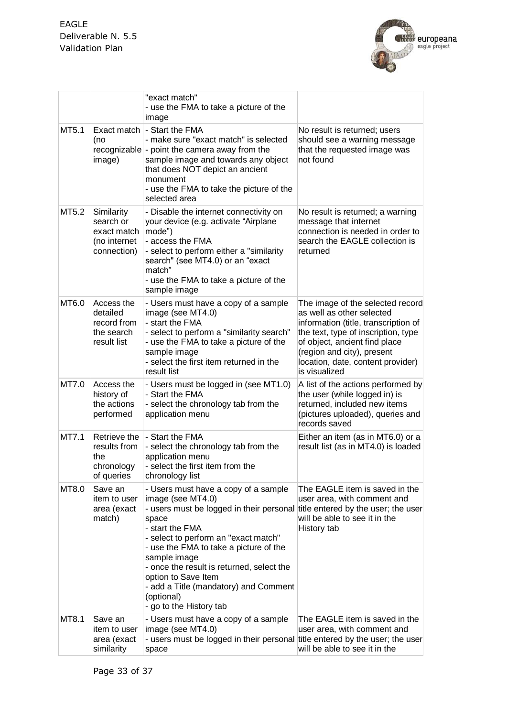

|       |                                                                       | "exact match"<br>- use the FMA to take a picture of the<br>image                                                                                                                                                                                                                                                                                                                                                              |                                                                                                                                                                                                                                                                   |
|-------|-----------------------------------------------------------------------|-------------------------------------------------------------------------------------------------------------------------------------------------------------------------------------------------------------------------------------------------------------------------------------------------------------------------------------------------------------------------------------------------------------------------------|-------------------------------------------------------------------------------------------------------------------------------------------------------------------------------------------------------------------------------------------------------------------|
| MT5.1 | Exact match<br>(no<br>image)                                          | - Start the FMA<br>- make sure "exact match" is selected<br>recognizable - point the camera away from the<br>sample image and towards any object<br>that does NOT depict an ancient<br>monument<br>- use the FMA to take the picture of the<br>selected area                                                                                                                                                                  | No result is returned; users<br>should see a warning message<br>that the requested image was<br>not found                                                                                                                                                         |
| MT5.2 | Similarity<br>search or<br>exact match<br>(no internet<br>connection) | - Disable the internet connectivity on<br>your device (e.g. activate "Airplane<br>mode")<br>- access the FMA<br>- select to perform either a "similarity<br>search" (see MT4.0) or an "exact<br>match"<br>- use the FMA to take a picture of the<br>sample image                                                                                                                                                              | No result is returned; a warning<br>message that internet<br>connection is needed in order to<br>search the EAGLE collection is<br>returned                                                                                                                       |
| MT6.0 | Access the<br>detailed<br>record from<br>the search<br>result list    | - Users must have a copy of a sample<br>image (see MT4.0)<br>- start the FMA<br>- select to perform a "similarity search"<br>- use the FMA to take a picture of the<br>sample image<br>- select the first item returned in the<br>result list                                                                                                                                                                                 | The image of the selected record<br>as well as other selected<br>information (title, transcription of<br>the text, type of inscription, type<br>of object, ancient find place<br>(region and city), present<br>location, date, content provider)<br>is visualized |
| MT7.0 | Access the<br>history of<br>the actions<br>performed                  | - Users must be logged in (see MT1.0)<br>- Start the FMA<br>- select the chronology tab from the<br>application menu                                                                                                                                                                                                                                                                                                          | A list of the actions performed by<br>the user (while logged in) is<br>returned, included new items<br>(pictures uploaded), queries and<br>records saved                                                                                                          |
| MT7.1 | Retrieve the<br>results from<br>the<br>chronology<br>of queries       | - Start the FMA<br>- select the chronology tab from the<br>application menu<br>- select the first item from the<br>chronology list                                                                                                                                                                                                                                                                                            | Either an item (as in MT6.0) or a<br>result list (as in MT4.0) is loaded                                                                                                                                                                                          |
| MT8.0 | Save an<br>item to user<br>area (exact<br>match)                      | - Users must have a copy of a sample<br>image (see MT4.0)<br>- users must be logged in their personal title entered by the user; the user<br>space<br>- start the FMA<br>- select to perform an "exact match"<br>- use the FMA to take a picture of the<br>sample image<br>- once the result is returned, select the<br>option to Save Item<br>- add a Title (mandatory) and Comment<br>(optional)<br>- go to the History tab | The EAGLE item is saved in the<br>user area, with comment and<br>will be able to see it in the<br>History tab                                                                                                                                                     |
| MT8.1 | Save an<br>item to user<br>area (exact<br>similarity                  | - Users must have a copy of a sample<br>image (see MT4.0)<br>- users must be logged in their personal title entered by the user; the user<br>space                                                                                                                                                                                                                                                                            | The EAGLE item is saved in the<br>user area, with comment and<br>will be able to see it in the                                                                                                                                                                    |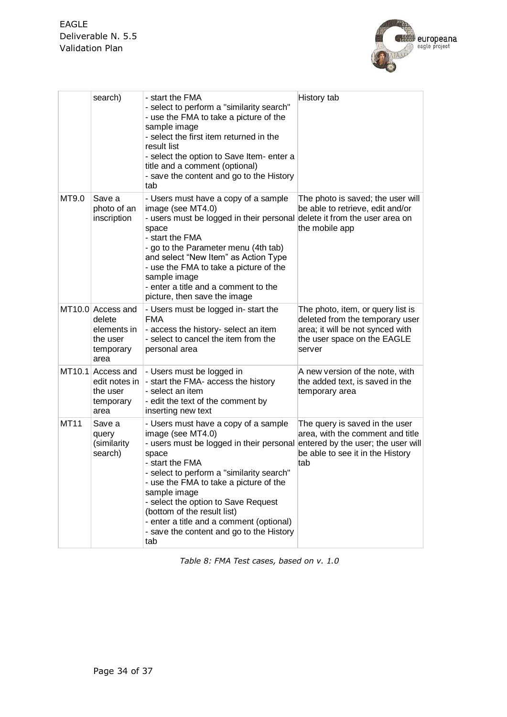

|             | search)                                                                     | - start the FMA<br>- select to perform a "similarity search"<br>- use the FMA to take a picture of the<br>sample image<br>- select the first item returned in the<br>result list<br>- select the option to Save Item- enter a<br>title and a comment (optional)<br>- save the content and go to the History<br>tab                                                                                            | History tab                                                                                                                                         |
|-------------|-----------------------------------------------------------------------------|---------------------------------------------------------------------------------------------------------------------------------------------------------------------------------------------------------------------------------------------------------------------------------------------------------------------------------------------------------------------------------------------------------------|-----------------------------------------------------------------------------------------------------------------------------------------------------|
| MT9.0       | Save a<br>photo of an<br>inscription                                        | - Users must have a copy of a sample<br>image (see MT4.0)<br>- users must be logged in their personal<br>space<br>- start the FMA<br>- go to the Parameter menu (4th tab)<br>and select "New Item" as Action Type<br>- use the FMA to take a picture of the<br>sample image<br>- enter a title and a comment to the<br>picture, then save the image                                                           | The photo is saved; the user will<br>be able to retrieve, edit and/or<br>delete it from the user area on<br>the mobile app                          |
|             | MT10.0 Access and<br>delete<br>elements in<br>the user<br>temporary<br>area | - Users must be logged in-start the<br><b>FMA</b><br>- access the history- select an item<br>- select to cancel the item from the<br>personal area                                                                                                                                                                                                                                                            | The photo, item, or query list is<br>deleted from the temporary user<br>area; it will be not synced with<br>the user space on the EAGLE<br>server   |
|             | MT10.1 Access and<br>edit notes in<br>the user<br>temporary<br>area         | - Users must be logged in<br>- start the FMA- access the history<br>- select an item<br>- edit the text of the comment by<br>inserting new text                                                                                                                                                                                                                                                               | A new version of the note, with<br>the added text, is saved in the<br>temporary area                                                                |
| <b>MT11</b> | Save a<br>query<br>(similarity<br>search)                                   | - Users must have a copy of a sample<br>image (see MT4.0)<br>- users must be logged in their personal<br>space<br>- start the FMA<br>- select to perform a "similarity search"<br>- use the FMA to take a picture of the<br>sample image<br>- select the option to Save Request<br>(bottom of the result list)<br>- enter a title and a comment (optional)<br>- save the content and go to the History<br>tab | The query is saved in the user<br>area, with the comment and title<br>entered by the user; the user will<br>be able to see it in the History<br>tab |

<span id="page-33-0"></span>*Table 8: FMA Test cases, based on v. 1.0*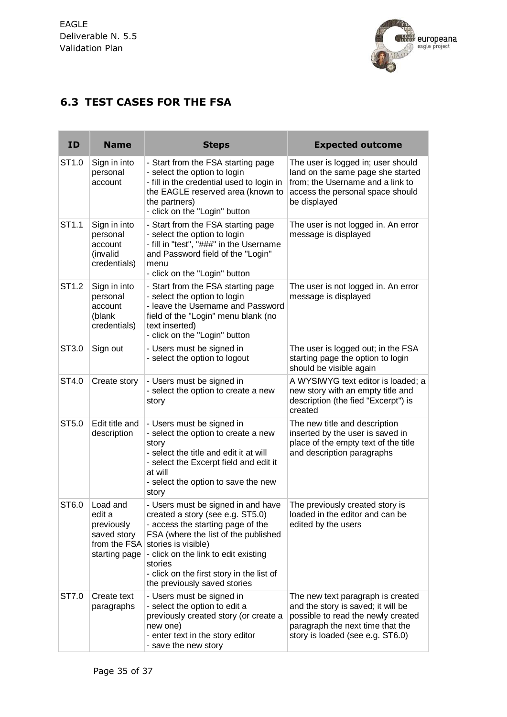

## <span id="page-34-0"></span>**6.3 TEST CASES FOR THE FSA**

| ID                | <b>Name</b>                                                                      | <b>Steps</b>                                                                                                                                                                                                                                                                                               | <b>Expected outcome</b>                                                                                                                                                               |
|-------------------|----------------------------------------------------------------------------------|------------------------------------------------------------------------------------------------------------------------------------------------------------------------------------------------------------------------------------------------------------------------------------------------------------|---------------------------------------------------------------------------------------------------------------------------------------------------------------------------------------|
| ST <sub>1.0</sub> | Sign in into<br>personal<br>account                                              | - Start from the FSA starting page<br>- select the option to login<br>- fill in the credential used to login in<br>the EAGLE reserved area (known to<br>the partners)<br>- click on the "Login" button                                                                                                     | The user is logged in; user should<br>land on the same page she started<br>from; the Username and a link to<br>access the personal space should<br>be displayed                       |
| ST1.1             | Sign in into<br>personal<br>account<br>(invalid<br>credentials)                  | - Start from the FSA starting page<br>- select the option to login<br>- fill in "test", "###" in the Username<br>and Password field of the "Login"<br>menu<br>- click on the "Login" button                                                                                                                | The user is not logged in. An error<br>message is displayed                                                                                                                           |
| ST <sub>1.2</sub> | Sign in into<br>personal<br>account<br>(blank<br>credentials)                    | - Start from the FSA starting page<br>- select the option to login<br>- leave the Username and Password<br>field of the "Login" menu blank (no<br>text inserted)<br>- click on the "Login" button                                                                                                          | The user is not logged in. An error<br>message is displayed                                                                                                                           |
| ST3.0             | Sign out                                                                         | - Users must be signed in<br>- select the option to logout                                                                                                                                                                                                                                                 | The user is logged out; in the FSA<br>starting page the option to login<br>should be visible again                                                                                    |
| ST4.0             | Create story                                                                     | - Users must be signed in<br>- select the option to create a new<br>story                                                                                                                                                                                                                                  | A WYSIWYG text editor is loaded; a<br>new story with an empty title and<br>description (the fied "Excerpt") is<br>created                                                             |
| ST5.0             | Edit title and<br>description                                                    | - Users must be signed in<br>- select the option to create a new<br>story<br>- select the title and edit it at will<br>- select the Excerpt field and edit it<br>at will<br>- select the option to save the new<br>story                                                                                   | The new title and description<br>inserted by the user is saved in<br>place of the empty text of the title<br>and description paragraphs                                               |
| ST <sub>6.0</sub> | Load and<br>edit a<br>previously<br>saved story<br>from the FSA<br>starting page | - Users must be signed in and have<br>created a story (see e.g. ST5.0)<br>- access the starting page of the<br>FSA (where the list of the published<br>stories is visible)<br>- click on the link to edit existing<br>stories<br>- click on the first story in the list of<br>the previously saved stories | The previously created story is<br>loaded in the editor and can be<br>edited by the users                                                                                             |
| ST7.0             | Create text<br>paragraphs                                                        | - Users must be signed in<br>- select the option to edit a<br>previously created story (or create a<br>new one)<br>- enter text in the story editor<br>- save the new story                                                                                                                                | The new text paragraph is created<br>and the story is saved; it will be<br>possible to read the newly created<br>paragraph the next time that the<br>story is loaded (see e.g. ST6.0) |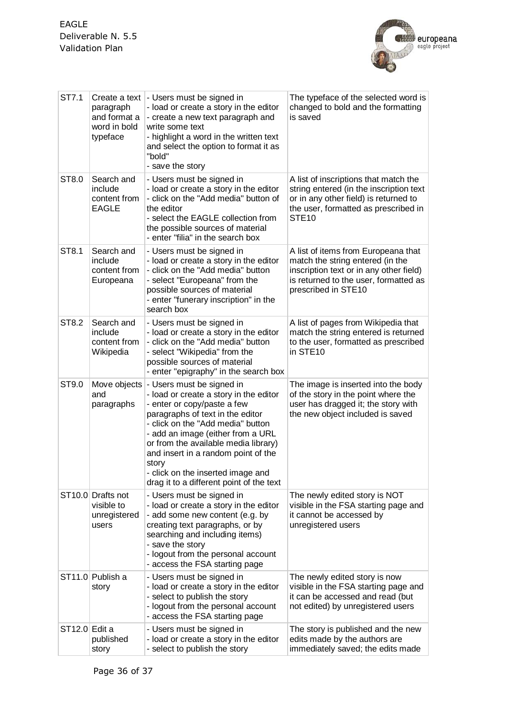

| ST7.1         | Create a text<br>paragraph<br>and format a<br>word in bold<br>typeface | - Users must be signed in<br>- load or create a story in the editor<br>- create a new text paragraph and<br>write some text<br>- highlight a word in the written text<br>and select the option to format it as<br>"bold"<br>- save the story                                                                                                                                                           | The typeface of the selected word is<br>changed to bold and the formatting<br>is saved                                                                                             |
|---------------|------------------------------------------------------------------------|--------------------------------------------------------------------------------------------------------------------------------------------------------------------------------------------------------------------------------------------------------------------------------------------------------------------------------------------------------------------------------------------------------|------------------------------------------------------------------------------------------------------------------------------------------------------------------------------------|
| ST8.0         | Search and<br>include<br>content from<br><b>EAGLE</b>                  | - Users must be signed in<br>- load or create a story in the editor<br>- click on the "Add media" button of<br>the editor<br>- select the EAGLE collection from<br>the possible sources of material<br>- enter "filia" in the search box                                                                                                                                                               | A list of inscriptions that match the<br>string entered (in the inscription text<br>or in any other field) is returned to<br>the user, formatted as prescribed in<br><b>STE10</b>  |
| ST8.1         | Search and<br>include<br>content from<br>Europeana                     | - Users must be signed in<br>- load or create a story in the editor<br>- click on the "Add media" button<br>- select "Europeana" from the<br>possible sources of material<br>- enter "funerary inscription" in the<br>search box                                                                                                                                                                       | A list of items from Europeana that<br>match the string entered (in the<br>inscription text or in any other field)<br>is returned to the user, formatted as<br>prescribed in STE10 |
| ST8.2         | Search and<br>include<br>content from<br>Wikipedia                     | - Users must be signed in<br>- load or create a story in the editor<br>- click on the "Add media" button<br>- select "Wikipedia" from the<br>possible sources of material<br>- enter "epigraphy" in the search box                                                                                                                                                                                     | A list of pages from Wikipedia that<br>match the string entered is returned<br>to the user, formatted as prescribed<br>in STE10                                                    |
| ST9.0         | and<br>paragraphs                                                      | Move objects - Users must be signed in<br>- load or create a story in the editor<br>- enter or copy/paste a few<br>paragraphs of text in the editor<br>- click on the "Add media" button<br>- add an image (either from a URL<br>or from the available media library)<br>and insert in a random point of the<br>story<br>- click on the inserted image and<br>drag it to a different point of the text | The image is inserted into the body<br>of the story in the point where the<br>user has dragged it; the story with<br>the new object included is saved                              |
|               | ST <sub>10.0</sub> Drafts not<br>visible to<br>unregistered<br>users   | - Users must be signed in<br>- load or create a story in the editor<br>- add some new content (e.g. by<br>creating text paragraphs, or by<br>searching and including items)<br>- save the story<br>- logout from the personal account<br>- access the FSA starting page                                                                                                                                | The newly edited story is NOT<br>visible in the FSA starting page and<br>it cannot be accessed by<br>unregistered users                                                            |
|               | ST11.0 Publish a<br>story                                              | - Users must be signed in<br>- load or create a story in the editor<br>- select to publish the story<br>- logout from the personal account<br>- access the FSA starting page                                                                                                                                                                                                                           | The newly edited story is now<br>visible in the FSA starting page and<br>it can be accessed and read (but<br>not edited) by unregistered users                                     |
| ST12.0 Edit a | published<br>story                                                     | - Users must be signed in<br>- load or create a story in the editor<br>- select to publish the story                                                                                                                                                                                                                                                                                                   | The story is published and the new<br>edits made by the authors are<br>immediately saved; the edits made                                                                           |